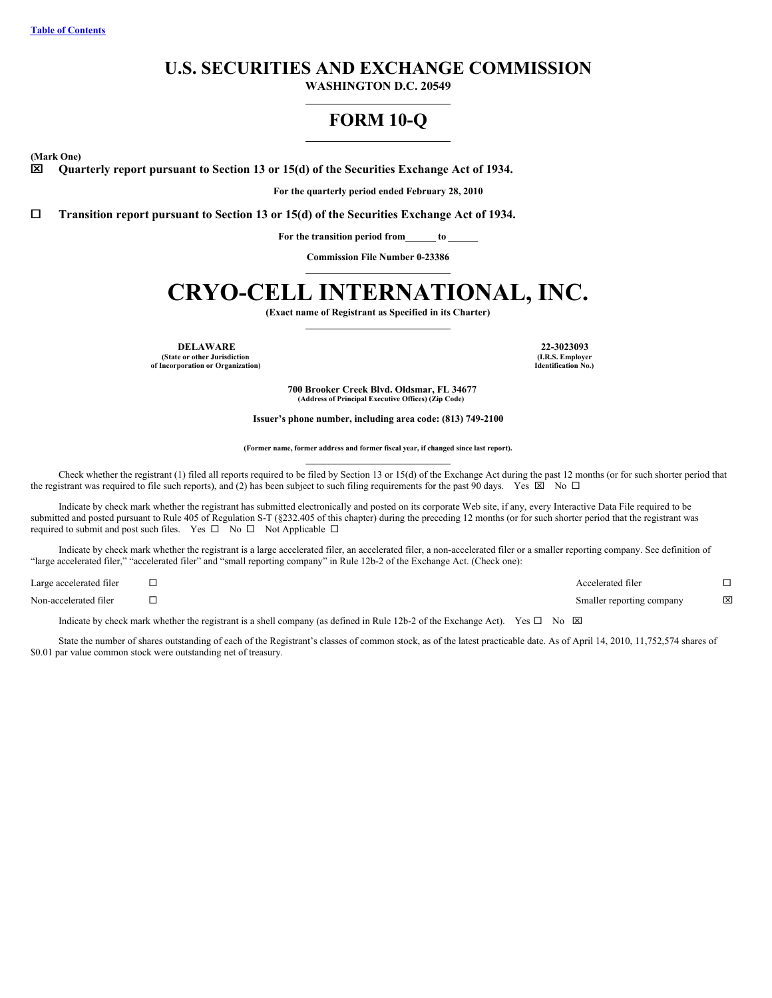## **U.S. SECURITIES AND EXCHANGE COMMISSION**

**WASHINGTON D.C. 20549**

## **FORM 10-Q**

**(Mark One)**

x **Quarterly report pursuant to Section 13 or 15(d) of the Securities Exchange Act of 1934.**

**For the quarterly period ended February 28, 2010**

¨ **Transition report pursuant to Section 13 or 15(d) of the Securities Exchange Act of 1934.**

**For the transition period from to**

**Commission File Number 0-23386**

# **CRYO-CELL INTERNATIONAL, INC.**

**(Exact name of Registrant as Specified in its Charter)**

**DELAWARE 22-3023093 (State or other Jurisdiction of Incorporation or Organization)**

**(I.R.S. Employer Identification No.)**

**700 Brooker Creek Blvd. Oldsmar, FL 34677 (Address of Principal Executive Offices) (Zip Code)**

**Issuer's phone number, including area code: (813) 749-2100**

**(Former name, former address and former fiscal year, if changed since last report).**

Check whether the registrant (1) filed all reports required to be filed by Section 13 or 15(d) of the Exchange Act during the past 12 months (or for such shorter period that the registrant was required to file such reports), and (2) has been subject to such filing requirements for the past 90 days. Yes  $\boxtimes$  No  $\Box$ 

Indicate by check mark whether the registrant has submitted electronically and posted on its corporate Web site, if any, every Interactive Data File required to be submitted and posted pursuant to Rule 405 of Regulation S-T (§232.405 of this chapter) during the preceding 12 months (or for such shorter period that the registrant was required to submit and post such files. Yes  $\square$  No  $\square$  Not Applicable  $\square$ 

Indicate by check mark whether the registrant is a large accelerated filer, an accelerated filer, a non-accelerated filer or a smaller reporting company. See definition of "large accelerated filer," "accelerated filer" and "small reporting company" in Rule 12b-2 of the Exchange Act. (Check one):

| Large accelerated filer | Accelerated filer         |   |
|-------------------------|---------------------------|---|
| Non-accelerated filer   | Smaller reporting company | ⊠ |

Indicate by check mark whether the registrant is a shell company (as defined in Rule 12b-2 of the Exchange Act). Yes  $\Box$  No  $\boxtimes$ 

State the number of shares outstanding of each of the Registrant's classes of common stock, as of the latest practicable date. As of April 14, 2010, 11,752,574 shares of \$0.01 par value common stock were outstanding net of treasury.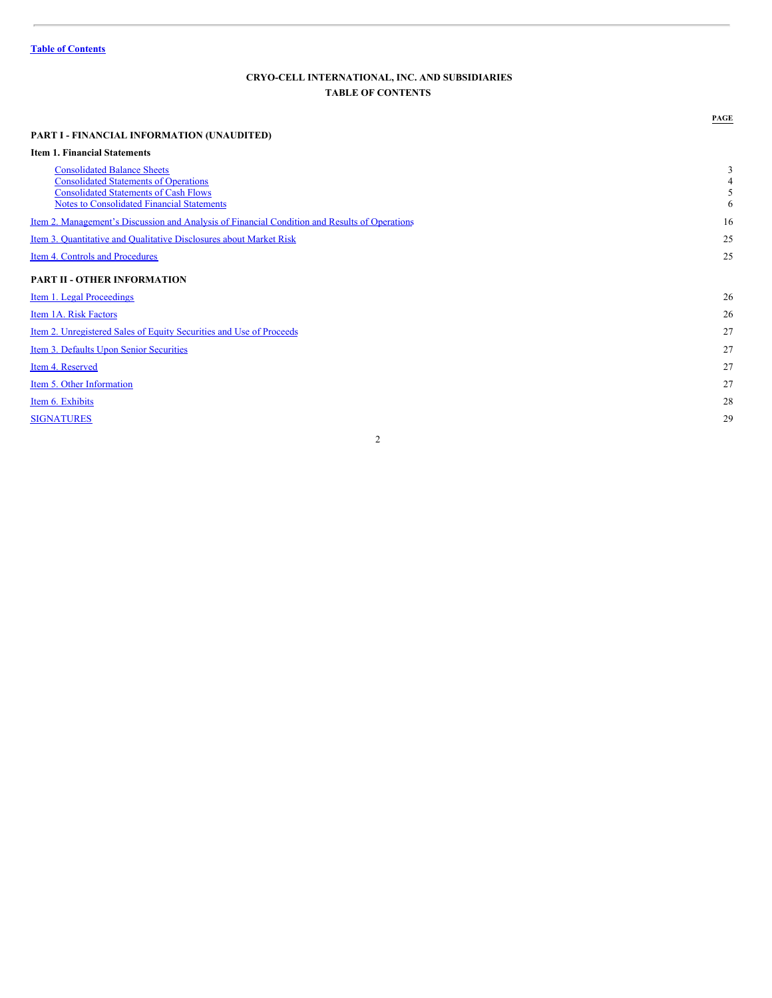## <span id="page-1-0"></span>**CRYO-CELL INTERNATIONAL, INC. AND SUBSIDIARIES TABLE OF CONTENTS**

## **PART I - FINANCIAL INFORMATION (UNAUDITED) Item 1. Financial Statements** [Consolidated](#page-2-0) Balance Sheets 3 [Consolidated](#page-3-0) Statements of Operations 4<br> **Consolidated Statements of Cash Flows** 5 [Consolidated](#page-4-0) Statements of Cash Flows Notes to [Consolidated](#page-5-0) Financial Statements 6 Item 2. [Management's](#page-15-0) Discussion and Analysis of Financial Condition and Results of Operations 16 Item 3. [Quantitative](#page-24-0) and Qualitative Disclosures about Market Risk 25 **Item 4. Controls and [Procedures](#page-24-1)** 25 **PART II - OTHER INFORMATION** Item 1. Legal [Proceedings](#page-25-0) 26 Item 1A. Risk [Factors](#page-25-1) 26 Item 2. [Unregistered](#page-26-0) Sales of Equity Securities and Use of Proceeds 27 Item 3. Defaults Upon Senior [Securities](#page-26-1) 27 <u>Item 4. [Reserved](#page-26-2)</u> 27 **Item 5. Other [Information](#page-26-3)** 27 **Item 6. [Exhibits](#page-27-0)** 28 [SIGNATURES](#page-28-0) 29

## 2

**PAGE**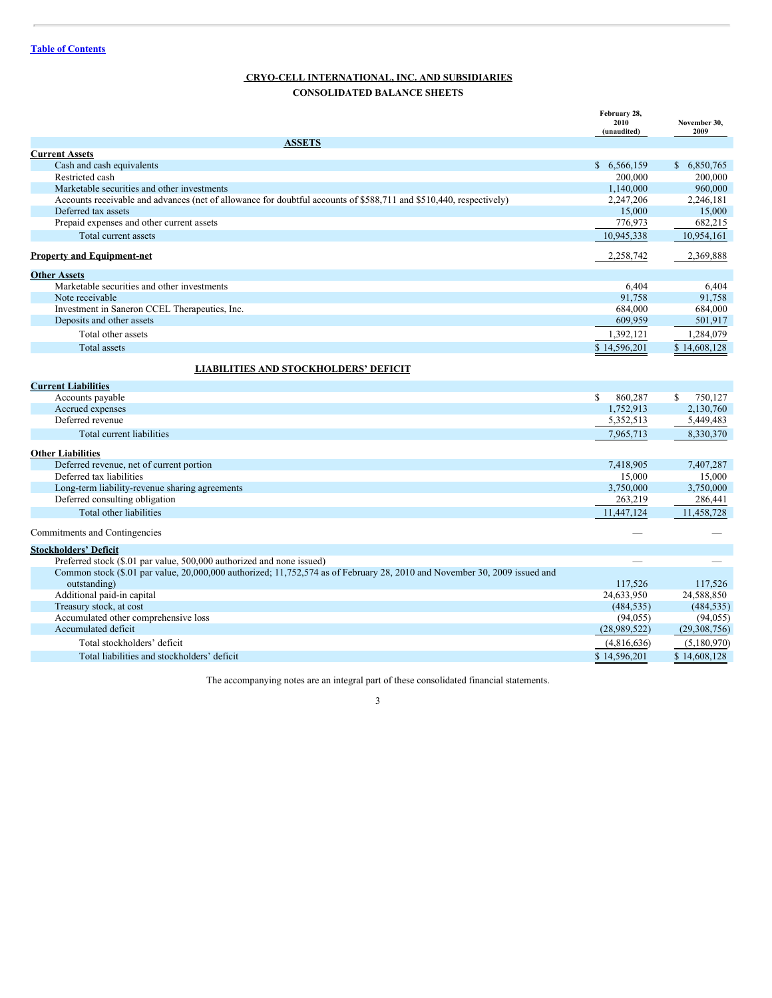## <span id="page-2-0"></span>**CRYO-CELL INTERNATIONAL, INC. AND SUBSIDIARIES CONSOLIDATED BALANCE SHEETS**

|                                                                                                                           | February 28,<br>2010<br>(unaudited) | November 30,<br>2009 |
|---------------------------------------------------------------------------------------------------------------------------|-------------------------------------|----------------------|
| <b>ASSETS</b>                                                                                                             |                                     |                      |
| <b>Current Assets</b>                                                                                                     |                                     |                      |
| Cash and cash equivalents                                                                                                 | \$6,566,159                         | \$6,850,765          |
| Restricted cash                                                                                                           | 200,000                             | 200,000              |
| Marketable securities and other investments                                                                               | 1,140,000                           | 960,000              |
| Accounts receivable and advances (net of allowance for doubtful accounts of \$588,711 and \$510,440, respectively)        | 2,247,206                           | 2,246,181            |
| Deferred tax assets                                                                                                       | 15,000                              | 15,000               |
| Prepaid expenses and other current assets                                                                                 | 776,973                             | 682,215              |
| Total current assets                                                                                                      | 10,945,338                          | 10,954,161           |
| <b>Property and Equipment-net</b>                                                                                         | 2,258,742                           | 2,369,888            |
| <b>Other Assets</b>                                                                                                       |                                     |                      |
| Marketable securities and other investments                                                                               | 6.404                               | 6.404                |
| Note receivable                                                                                                           | 91,758                              | 91,758               |
| Investment in Saneron CCEL Therapeutics, Inc.                                                                             | 684,000                             | 684,000              |
| Deposits and other assets                                                                                                 | 609,959                             | 501,917              |
| Total other assets                                                                                                        | 1,392,121                           | 1,284,079            |
| <b>Total assets</b>                                                                                                       | \$14,596,201                        | \$14,608,128         |
| <b>LIABILITIES AND STOCKHOLDERS' DEFICIT</b>                                                                              |                                     |                      |
| <b>Current Liabilities</b>                                                                                                |                                     |                      |
| Accounts payable                                                                                                          | 860,287<br>S.                       | 750,127<br>\$        |
| Accrued expenses                                                                                                          | 1,752,913                           | 2,130,760            |
| Deferred revenue                                                                                                          | 5,352,513                           | 5,449,483            |
| Total current liabilities                                                                                                 | 7,965,713                           | 8,330,370            |
| <b>Other Liabilities</b>                                                                                                  |                                     |                      |
| Deferred revenue, net of current portion                                                                                  | 7,418,905                           | 7,407,287            |
| Deferred tax liabilities                                                                                                  | 15,000                              | 15,000               |
| Long-term liability-revenue sharing agreements                                                                            | 3,750,000                           | 3,750,000            |
| Deferred consulting obligation                                                                                            | 263,219                             | 286,441              |
| Total other liabilities                                                                                                   | 11,447,124                          | 11,458,728           |
| Commitments and Contingencies                                                                                             |                                     |                      |
| <b>Stockholders' Deficit</b>                                                                                              |                                     |                      |
| Preferred stock (\$.01 par value, 500,000 authorized and none issued)                                                     |                                     |                      |
| Common stock (\$.01 par value, 20,000,000 authorized; 11,752,574 as of February 28, 2010 and November 30, 2009 issued and |                                     |                      |
| outstanding)                                                                                                              | 117,526                             | 117,526              |
| Additional paid-in capital                                                                                                | 24,633,950                          | 24,588,850           |
| Treasury stock, at cost                                                                                                   | (484, 535)                          | (484, 535)           |
| Accumulated other comprehensive loss                                                                                      | (94, 055)                           | (94, 055)            |
| Accumulated deficit                                                                                                       | (28,989,522)                        | (29,308,756)         |
| Total stockholders' deficit                                                                                               | (4,816,636)                         | (5,180,970)          |
| Total liabilities and stockholders' deficit                                                                               | \$14,596,201                        | \$14,608,128         |

The accompanying notes are an integral part of these consolidated financial statements.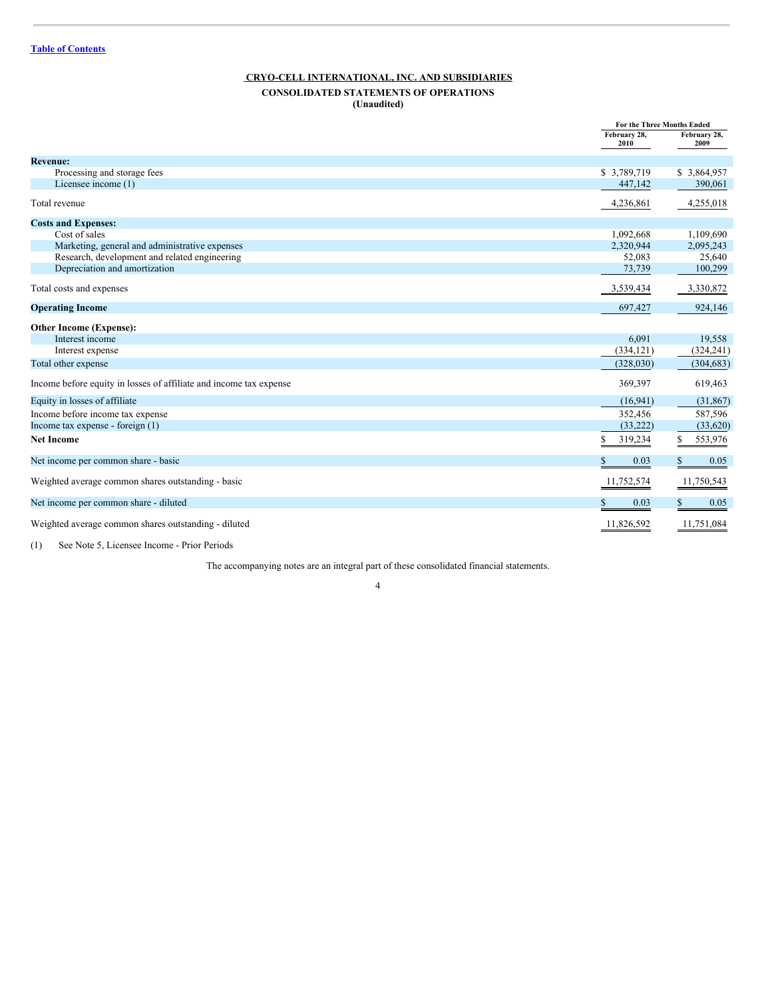## <span id="page-3-0"></span>**CRYO-CELL INTERNATIONAL, INC. AND SUBSIDIARIES CONSOLIDATED STATEMENTS OF OPERATIONS (Unaudited)**

|                                                                    |                      | <b>For the Three Months Ended</b> |
|--------------------------------------------------------------------|----------------------|-----------------------------------|
|                                                                    | February 28,<br>2010 | February 28,<br>2009              |
| <b>Revenue:</b>                                                    |                      |                                   |
| Processing and storage fees                                        | \$3,789,719          | \$3,864,957                       |
| Licensee income (1)                                                | 447,142              | 390,061                           |
| Total revenue                                                      | 4,236,861            | 4,255,018                         |
| <b>Costs and Expenses:</b>                                         |                      |                                   |
| Cost of sales                                                      | 1,092,668            | 1,109,690                         |
| Marketing, general and administrative expenses                     | 2,320,944            | 2,095,243                         |
| Research, development and related engineering                      | 52,083               | 25,640                            |
| Depreciation and amortization                                      | 73,739               | 100,299                           |
| Total costs and expenses                                           | 3,539,434            | 3,330,872                         |
| <b>Operating Income</b>                                            | 697,427              | 924,146                           |
| <b>Other Income (Expense):</b>                                     |                      |                                   |
| Interest income                                                    | 6,091                | 19,558                            |
| Interest expense                                                   | (334, 121)           | (324, 241)                        |
| Total other expense                                                | (328,030)            | (304, 683)                        |
| Income before equity in losses of affiliate and income tax expense | 369,397              | 619,463                           |
| Equity in losses of affiliate                                      | (16, 941)            | (31, 867)                         |
| Income before income tax expense                                   | 352,456              | 587,596                           |
| Income tax expense - foreign $(1)$                                 | (33, 222)            | (33,620)                          |
| <b>Net Income</b>                                                  | 319,234<br>S.        | 553,976<br>\$.                    |
| Net income per common share - basic                                | 0.03                 | 0.05<br>\$.                       |
| Weighted average common shares outstanding - basic                 | 11,752,574           | 11,750,543                        |
| Net income per common share - diluted                              | 0.03                 | 0.05                              |
| Weighted average common shares outstanding - diluted               | 11,826,592           | 11,751,084                        |

(1) See Note 5, Licensee Income - Prior Periods

The accompanying notes are an integral part of these consolidated financial statements.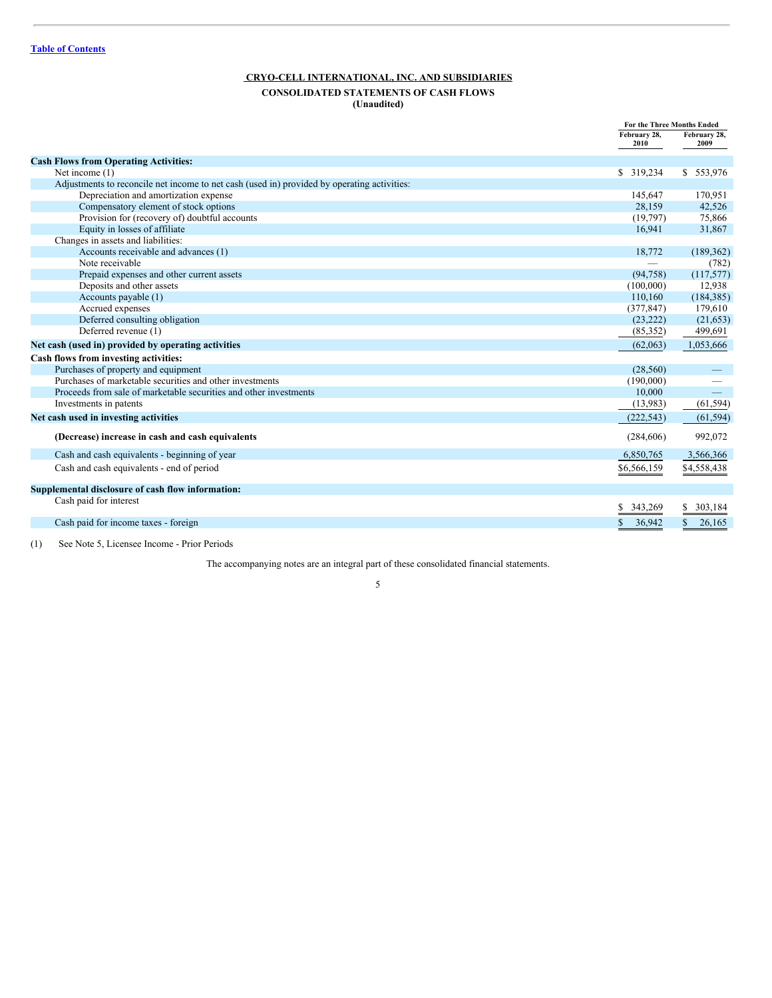## <span id="page-4-0"></span>**CONSOLIDATED STATEMENTS OF CASH FLOWS (Unaudited)**

|                                                                                             | <b>For the Three Months Ended</b> |                      |
|---------------------------------------------------------------------------------------------|-----------------------------------|----------------------|
|                                                                                             | February 28,<br>2010              | February 28,<br>2009 |
| <b>Cash Flows from Operating Activities:</b>                                                |                                   |                      |
| Net income (1)                                                                              | \$ 319,234                        | \$553,976            |
| Adjustments to reconcile net income to net cash (used in) provided by operating activities: |                                   |                      |
| Depreciation and amortization expense                                                       | 145,647                           | 170,951              |
| Compensatory element of stock options                                                       | 28,159                            | 42,526               |
| Provision for (recovery of) doubtful accounts                                               | (19,797)                          | 75,866               |
| Equity in losses of affiliate                                                               | 16.941                            | 31,867               |
| Changes in assets and liabilities:                                                          |                                   |                      |
| Accounts receivable and advances (1)                                                        | 18,772                            | (189, 362)           |
| Note receivable                                                                             |                                   | (782)                |
| Prepaid expenses and other current assets                                                   | (94, 758)                         | (117,577)            |
| Deposits and other assets                                                                   | (100,000)                         | 12,938               |
| Accounts payable (1)                                                                        | 110,160                           | (184, 385)           |
| Accrued expenses                                                                            | (377, 847)                        | 179,610              |
| Deferred consulting obligation                                                              | (23, 222)                         | (21,653)             |
| Deferred revenue (1)                                                                        | (85,352)                          | 499,691              |
| Net cash (used in) provided by operating activities                                         | (62,063)                          | 1,053,666            |
| Cash flows from investing activities:                                                       |                                   |                      |
| Purchases of property and equipment                                                         | (28, 560)                         |                      |
| Purchases of marketable securities and other investments                                    | (190,000)                         |                      |
| Proceeds from sale of marketable securities and other investments                           | 10.000                            |                      |
| Investments in patents                                                                      | (13,983)                          | (61, 594)            |
| Net cash used in investing activities                                                       | (222, 543)                        | (61, 594)            |
| (Decrease) increase in cash and cash equivalents                                            | (284, 606)                        | 992,072              |
| Cash and cash equivalents - beginning of year                                               | 6,850,765                         | 3,566,366            |
| Cash and cash equivalents - end of period                                                   | \$6,566,159                       | \$4,558,438          |
| Supplemental disclosure of cash flow information:                                           |                                   |                      |
| Cash paid for interest                                                                      | 343,269                           | 303,184              |
| Cash paid for income taxes - foreign                                                        | \$<br>36,942                      | 26,165<br>S          |

(1) See Note 5, Licensee Income - Prior Periods

The accompanying notes are an integral part of these consolidated financial statements.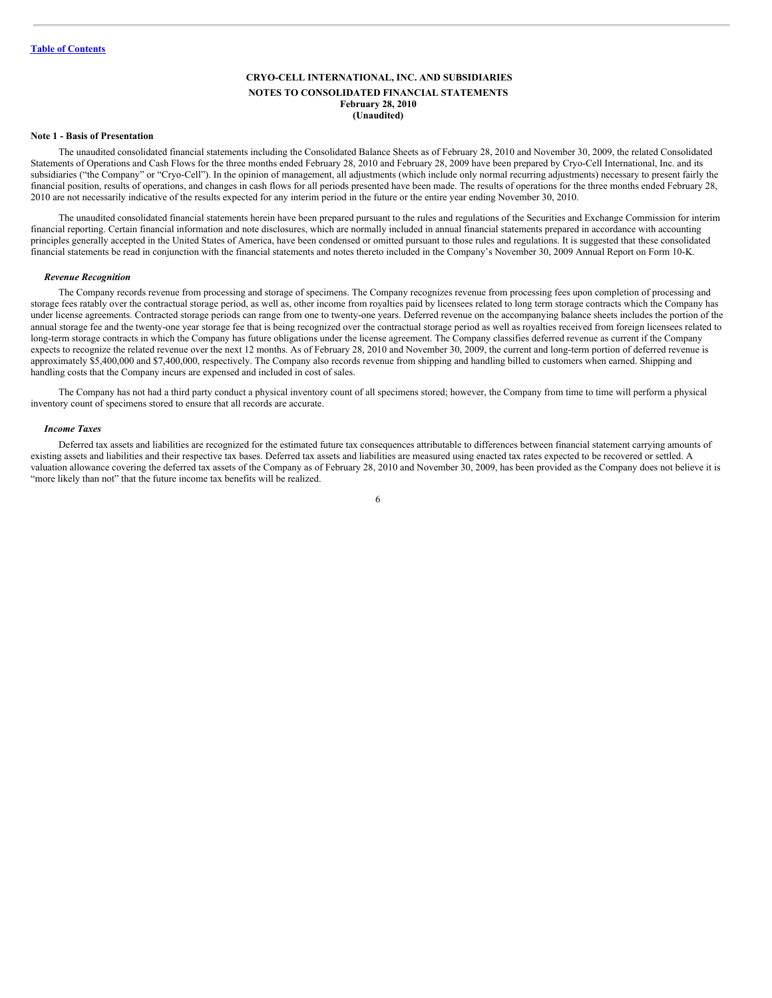## <span id="page-5-0"></span>**CRYO-CELL INTERNATIONAL, INC. AND SUBSIDIARIES NOTES TO CONSOLIDATED FINANCIAL STATEMENTS February 28, 2010 (Unaudited)**

## **Note 1 - Basis of Presentation**

The unaudited consolidated financial statements including the Consolidated Balance Sheets as of February 28, 2010 and November 30, 2009, the related Consolidated Statements of Operations and Cash Flows for the three months ended February 28, 2010 and February 28, 2009 have been prepared by Cryo-Cell International, Inc. and its subsidiaries ("the Company" or "Cryo-Cell"). In the opinion of management, all adjustments (which include only normal recurring adjustments) necessary to present fairly the financial position, results of operations, and changes in cash flows for all periods presented have been made. The results of operations for the three months ended February 28, 2010 are not necessarily indicative of the results expected for any interim period in the future or the entire year ending November 30, 2010.

The unaudited consolidated financial statements herein have been prepared pursuant to the rules and regulations of the Securities and Exchange Commission for interim financial reporting. Certain financial information and note disclosures, which are normally included in annual financial statements prepared in accordance with accounting principles generally accepted in the United States of America, have been condensed or omitted pursuant to those rules and regulations. It is suggested that these consolidated financial statements be read in conjunction with the financial statements and notes thereto included in the Company's November 30, 2009 Annual Report on Form 10-K.

#### *Revenue Recognition*

The Company records revenue from processing and storage of specimens. The Company recognizes revenue from processing fees upon completion of processing and storage fees ratably over the contractual storage period, as well as, other income from royalties paid by licensees related to long term storage contracts which the Company has under license agreements. Contracted storage periods can range from one to twenty-one years. Deferred revenue on the accompanying balance sheets includes the portion of the annual storage fee and the twenty-one year storage fee that is being recognized over the contractual storage period as well as royalties received from foreign licensees related to long-term storage contracts in which the Company has future obligations under the license agreement. The Company classifies deferred revenue as current if the Company expects to recognize the related revenue over the next 12 months. As of February 28, 2010 and November 30, 2009, the current and long-term portion of deferred revenue is approximately \$5,400,000 and \$7,400,000, respectively. The Company also records revenue from shipping and handling billed to customers when earned. Shipping and handling costs that the Company incurs are expensed and included in cost of sales.

The Company has not had a third party conduct a physical inventory count of all specimens stored; however, the Company from time to time will perform a physical inventory count of specimens stored to ensure that all records are accurate.

### *Income Taxes*

Deferred tax assets and liabilities are recognized for the estimated future tax consequences attributable to differences between financial statement carrying amounts of existing assets and liabilities and their respective tax bases. Deferred tax assets and liabilities are measured using enacted tax rates expected to be recovered or settled. A valuation allowance covering the deferred tax assets of the Company as of February 28, 2010 and November 30, 2009, has been provided as the Company does not believe it is "more likely than not" that the future income tax benefits will be realized.

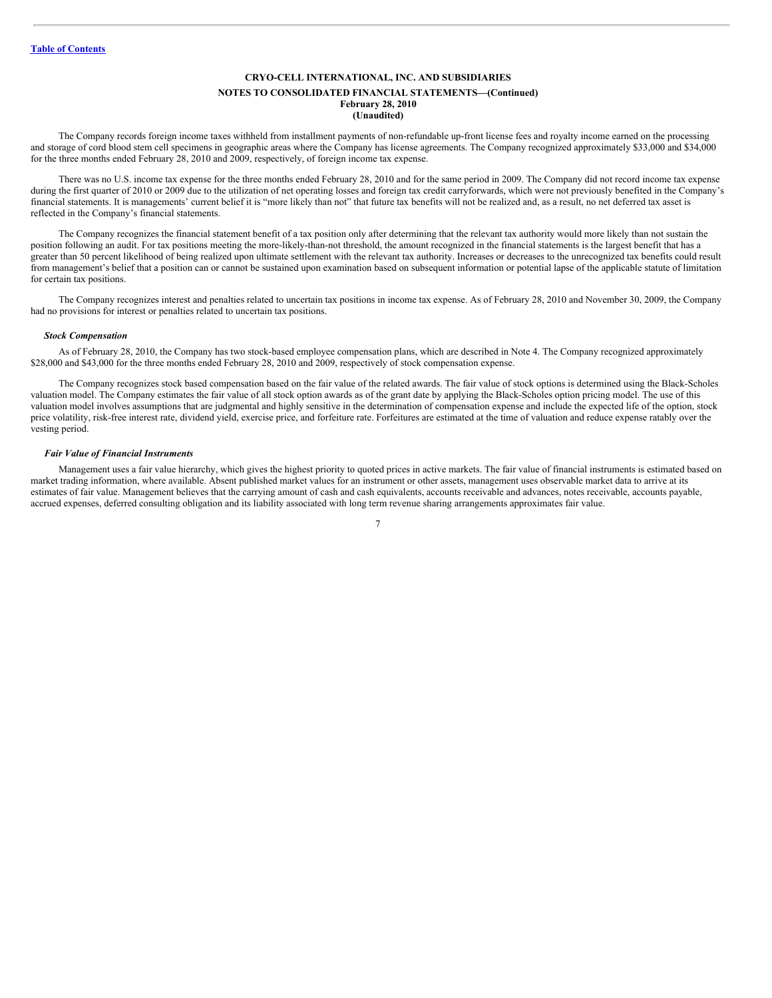#### **NOTES TO CONSOLIDATED FINANCIAL STATEMENTS—(Continued) February 28, 2010 (Unaudited)**

The Company records foreign income taxes withheld from installment payments of non-refundable up-front license fees and royalty income earned on the processing and storage of cord blood stem cell specimens in geographic areas where the Company has license agreements. The Company recognized approximately \$33,000 and \$34,000 for the three months ended February 28, 2010 and 2009, respectively, of foreign income tax expense.

There was no U.S. income tax expense for the three months ended February 28, 2010 and for the same period in 2009. The Company did not record income tax expense during the first quarter of 2010 or 2009 due to the utilization of net operating losses and foreign tax credit carryforwards, which were not previously benefited in the Company's financial statements. It is managements' current belief it is "more likely than not" that future tax benefits will not be realized and, as a result, no net deferred tax asset is reflected in the Company's financial statements.

The Company recognizes the financial statement benefit of a tax position only after determining that the relevant tax authority would more likely than not sustain the position following an audit. For tax positions meeting the more-likely-than-not threshold, the amount recognized in the financial statements is the largest benefit that has a greater than 50 percent likelihood of being realized upon ultimate settlement with the relevant tax authority. Increases or decreases to the unrecognized tax benefits could result from management's belief that a position can or cannot be sustained upon examination based on subsequent information or potential lapse of the applicable statute of limitation for certain tax positions.

The Company recognizes interest and penalties related to uncertain tax positions in income tax expense. As of February 28, 2010 and November 30, 2009, the Company had no provisions for interest or penalties related to uncertain tax positions.

#### *Stock Compensation*

As of February 28, 2010, the Company has two stock-based employee compensation plans, which are described in Note 4. The Company recognized approximately \$28,000 and \$43,000 for the three months ended February 28, 2010 and 2009, respectively of stock compensation expense.

The Company recognizes stock based compensation based on the fair value of the related awards. The fair value of stock options is determined using the Black-Scholes valuation model. The Company estimates the fair value of all stock option awards as of the grant date by applying the Black-Scholes option pricing model. The use of this valuation model involves assumptions that are judgmental and highly sensitive in the determination of compensation expense and include the expected life of the option, stock price volatility, risk-free interest rate, dividend yield, exercise price, and forfeiture rate. Forfeitures are estimated at the time of valuation and reduce expense ratably over the vesting period.

#### *Fair Value of Financial Instruments*

Management uses a fair value hierarchy, which gives the highest priority to quoted prices in active markets. The fair value of financial instruments is estimated based on market trading information, where available. Absent published market values for an instrument or other assets, management uses observable market data to arrive at its estimates of fair value. Management believes that the carrying amount of cash and cash equivalents, accounts receivable and advances, notes receivable, accounts payable, accrued expenses, deferred consulting obligation and its liability associated with long term revenue sharing arrangements approximates fair value.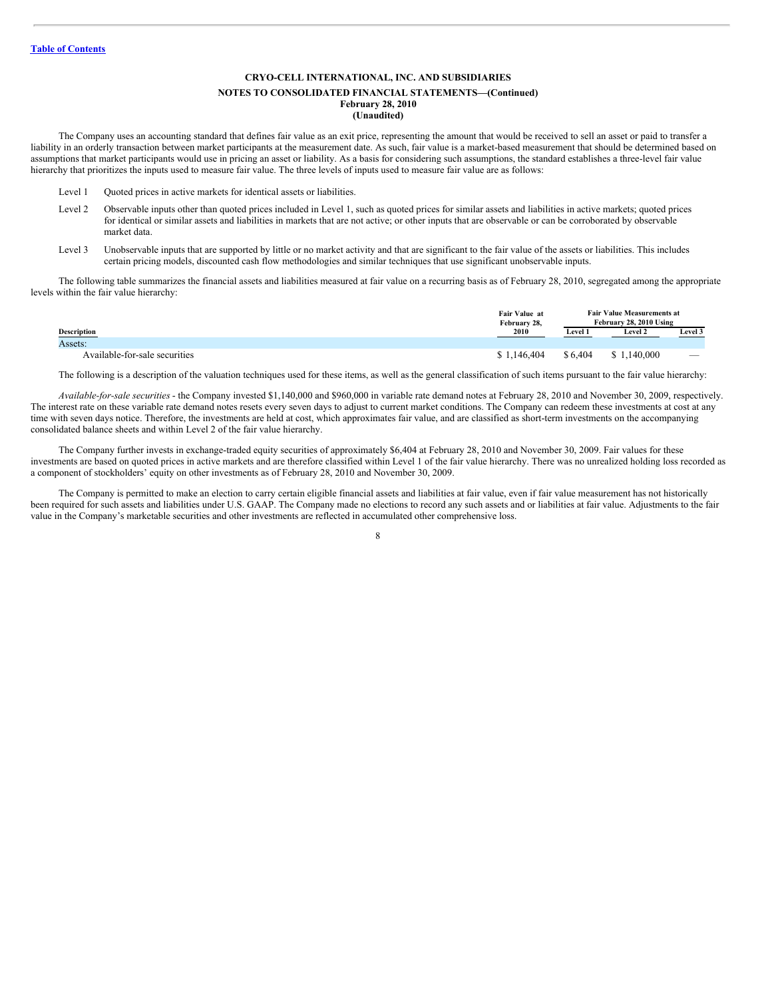#### **NOTES TO CONSOLIDATED FINANCIAL STATEMENTS—(Continued) February 28, 2010 (Unaudited)**

The Company uses an accounting standard that defines fair value as an exit price, representing the amount that would be received to sell an asset or paid to transfer a liability in an orderly transaction between market participants at the measurement date. As such, fair value is a market-based measurement that should be determined based on assumptions that market participants would use in pricing an asset or liability. As a basis for considering such assumptions, the standard establishes a three-level fair value hierarchy that prioritizes the inputs used to measure fair value. The three levels of inputs used to measure fair value are as follows:

- Level 1 Quoted prices in active markets for identical assets or liabilities.
- Level 2 Observable inputs other than quoted prices included in Level 1, such as quoted prices for similar assets and liabilities in active markets; quoted prices for identical or similar assets and liabilities in markets that are not active; or other inputs that are observable or can be corroborated by observable market data.
- Level 3 Unobservable inputs that are supported by little or no market activity and that are significant to the fair value of the assets or liabilities. This includes certain pricing models, discounted cash flow methodologies and similar techniques that use significant unobservable inputs.

The following table summarizes the financial assets and liabilities measured at fair value on a recurring basis as of February 28, 2010, segregated among the appropriate levels within the fair value hierarchy:

| Fair Value at                 |                      | <b>Fair Value Measurements at</b><br>February 28, 2010 Using |                |         |
|-------------------------------|----------------------|--------------------------------------------------------------|----------------|---------|
| <b>Description</b>            | February 28,<br>2010 | Level 1                                                      | <b>Level 2</b> | Level 3 |
| Assets:                       |                      |                                                              |                |         |
| Available-for-sale securities | \$1.146.404          | \$6.404                                                      | \$1.140,000    |         |

The following is a description of the valuation techniques used for these items, as well as the general classification of such items pursuant to the fair value hierarchy:

*Available-for-sale securities* - the Company invested \$1,140,000 and \$960,000 in variable rate demand notes at February 28, 2010 and November 30, 2009, respectively. The interest rate on these variable rate demand notes resets every seven days to adjust to current market conditions. The Company can redeem these investments at cost at any time with seven days notice. Therefore, the investments are held at cost, which approximates fair value, and are classified as short-term investments on the accompanying consolidated balance sheets and within Level 2 of the fair value hierarchy.

The Company further invests in exchange-traded equity securities of approximately \$6,404 at February 28, 2010 and November 30, 2009. Fair values for these investments are based on quoted prices in active markets and are therefore classified within Level 1 of the fair value hierarchy. There was no unrealized holding loss recorded as a component of stockholders' equity on other investments as of February 28, 2010 and November 30, 2009.

The Company is permitted to make an election to carry certain eligible financial assets and liabilities at fair value, even if fair value measurement has not historically been required for such assets and liabilities under U.S. GAAP. The Company made no elections to record any such assets and or liabilities at fair value. Adjustments to the fair value in the Company's marketable securities and other investments are reflected in accumulated other comprehensive loss.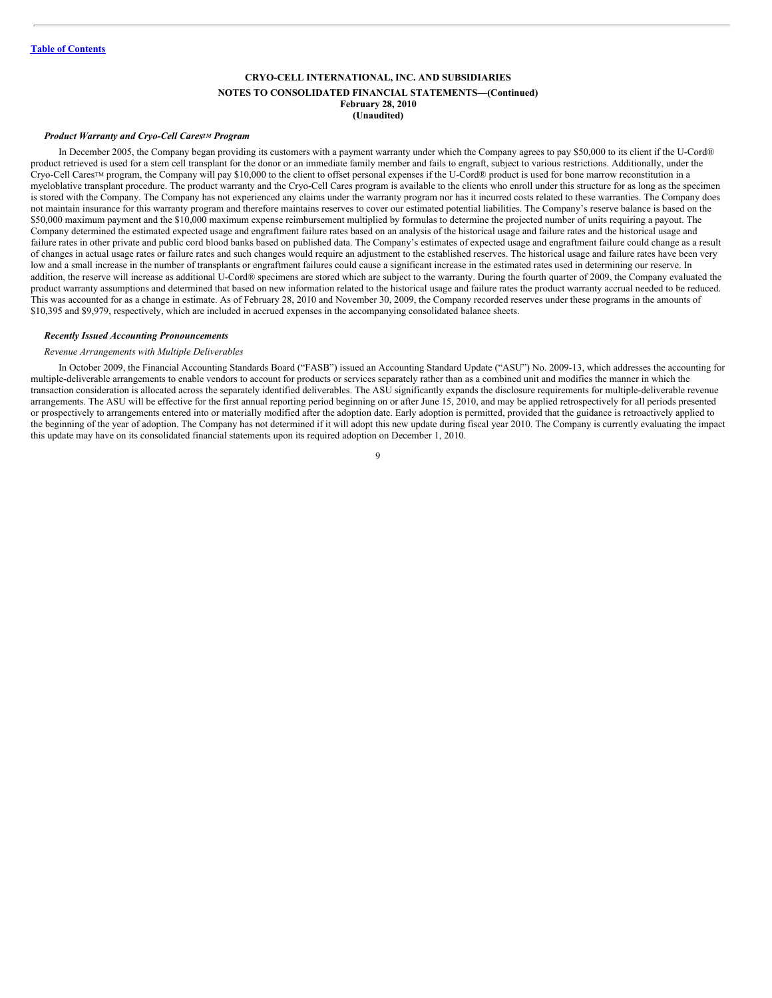## **CRYO-CELL INTERNATIONAL, INC. AND SUBSIDIARIES NOTES TO CONSOLIDATED FINANCIAL STATEMENTS—(Continued) February 28, 2010 (Unaudited)**

### *Product Warranty and Cryo-Cell Cares<sup>TM</sup> Program*

In December 2005, the Company began providing its customers with a payment warranty under which the Company agrees to pay \$50,000 to its client if the U-Cord® product retrieved is used for a stem cell transplant for the donor or an immediate family member and fails to engraft, subject to various restrictions. Additionally, under the Cryo-Cell Cares™ program, the Company will pay \$10,000 to the client to offset personal expenses if the U-Cord® product is used for bone marrow reconstitution in a myeloblative transplant procedure. The product warranty and the Cryo-Cell Cares program is available to the clients who enroll under this structure for as long as the specimen is stored with the Company. The Company has not experienced any claims under the warranty program nor has it incurred costs related to these warranties. The Company does not maintain insurance for this warranty program and therefore maintains reserves to cover our estimated potential liabilities. The Company's reserve balance is based on the \$50,000 maximum payment and the \$10,000 maximum expense reimbursement multiplied by formulas to determine the projected number of units requiring a payout. The Company determined the estimated expected usage and engraftment failure rates based on an analysis of the historical usage and failure rates and the historical usage and failure rates in other private and public cord blood banks based on published data. The Company's estimates of expected usage and engraftment failure could change as a result of changes in actual usage rates or failure rates and such changes would require an adjustment to the established reserves. The historical usage and failure rates have been very low and a small increase in the number of transplants or engraftment failures could cause a significant increase in the estimated rates used in determining our reserve. In addition, the reserve will increase as additional U-Cord® specimens are stored which are subject to the warranty. During the fourth quarter of 2009, the Company evaluated the product warranty assumptions and determined that based on new information related to the historical usage and failure rates the product warranty accrual needed to be reduced. This was accounted for as a change in estimate. As of February 28, 2010 and November 30, 2009, the Company recorded reserves under these programs in the amounts of \$10,395 and \$9,979, respectively, which are included in accrued expenses in the accompanying consolidated balance sheets.

#### *Recently Issued Accounting Pronouncements*

#### *Revenue Arrangements with Multiple Deliverables*

In October 2009, the Financial Accounting Standards Board ("FASB") issued an Accounting Standard Update ("ASU") No. 2009-13, which addresses the accounting for multiple-deliverable arrangements to enable vendors to account for products or services separately rather than as a combined unit and modifies the manner in which the transaction consideration is allocated across the separately identified deliverables. The ASU significantly expands the disclosure requirements for multiple-deliverable revenue arrangements. The ASU will be effective for the first annual reporting period beginning on or after June 15, 2010, and may be applied retrospectively for all periods presented or prospectively to arrangements entered into or materially modified after the adoption date. Early adoption is permitted, provided that the guidance is retroactively applied to the beginning of the year of adoption. The Company has not determined if it will adopt this new update during fiscal year 2010. The Company is currently evaluating the impact this update may have on its consolidated financial statements upon its required adoption on December 1, 2010.

 $\overline{Q}$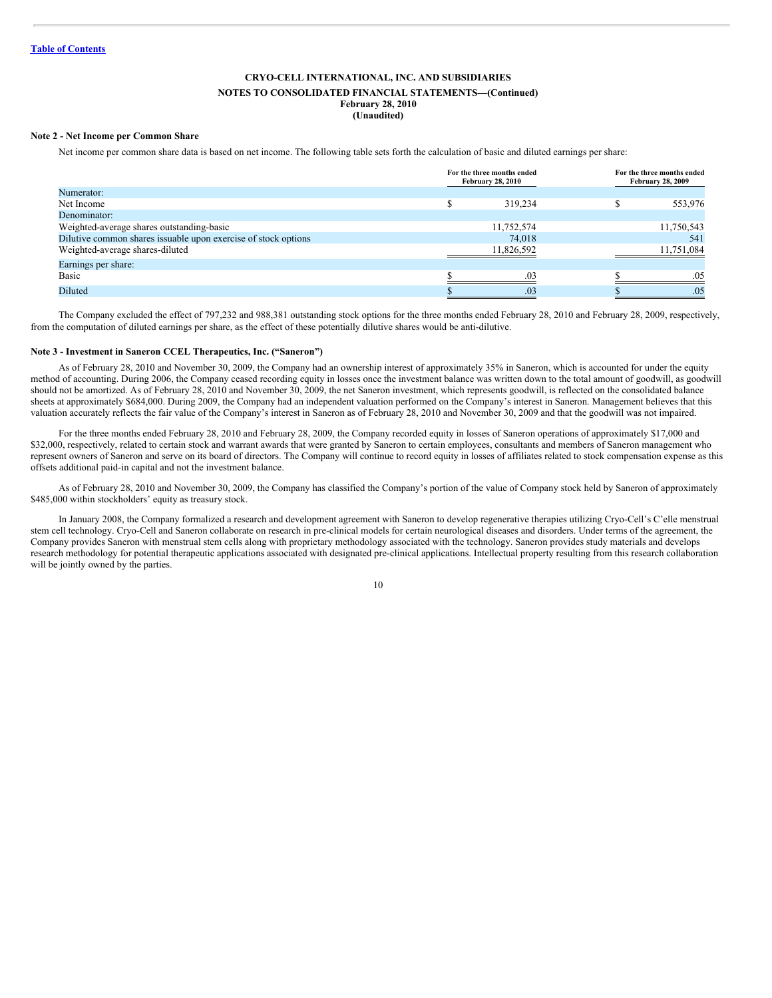#### **NOTES TO CONSOLIDATED FINANCIAL STATEMENTS—(Continued) February 28, 2010 (Unaudited)**

## **Note 2 - Net Income per Common Share**

Net income per common share data is based on net income. The following table sets forth the calculation of basic and diluted earnings per share:

|                                                                | For the three months ended<br><b>February 28, 2010</b> | For the three months ended<br><b>February 28, 2009</b> |
|----------------------------------------------------------------|--------------------------------------------------------|--------------------------------------------------------|
| Numerator:                                                     |                                                        |                                                        |
| Net Income                                                     | 319.234                                                | 553,976                                                |
| Denominator:                                                   |                                                        |                                                        |
| Weighted-average shares outstanding-basic                      | 11,752,574                                             | 11,750,543                                             |
| Dilutive common shares issuable upon exercise of stock options | 74,018                                                 | 541                                                    |
| Weighted-average shares-diluted                                | 11,826,592                                             | 11,751,084                                             |
| Earnings per share:                                            |                                                        |                                                        |
| Basic                                                          | .03                                                    | .05                                                    |
| Diluted                                                        | .03                                                    | .05                                                    |

The Company excluded the effect of 797,232 and 988,381 outstanding stock options for the three months ended February 28, 2010 and February 28, 2009, respectively, from the computation of diluted earnings per share, as the effect of these potentially dilutive shares would be anti-dilutive.

### **Note 3 - Investment in Saneron CCEL Therapeutics, Inc. ("Saneron")**

As of February 28, 2010 and November 30, 2009, the Company had an ownership interest of approximately 35% in Saneron, which is accounted for under the equity method of accounting. During 2006, the Company ceased recording equity in losses once the investment balance was written down to the total amount of goodwill, as goodwill should not be amortized. As of February 28, 2010 and November 30, 2009, the net Saneron investment, which represents goodwill, is reflected on the consolidated balance sheets at approximately \$684,000. During 2009, the Company had an independent valuation performed on the Company's interest in Saneron. Management believes that this valuation accurately reflects the fair value of the Company's interest in Saneron as of February 28, 2010 and November 30, 2009 and that the goodwill was not impaired.

For the three months ended February 28, 2010 and February 28, 2009, the Company recorded equity in losses of Saneron operations of approximately \$17,000 and \$32,000, respectively, related to certain stock and warrant awards that were granted by Saneron to certain employees, consultants and members of Saneron management who represent owners of Saneron and serve on its board of directors. The Company will continue to record equity in losses of affiliates related to stock compensation expense as this offsets additional paid-in capital and not the investment balance.

As of February 28, 2010 and November 30, 2009, the Company has classified the Company's portion of the value of Company stock held by Saneron of approximately \$485,000 within stockholders' equity as treasury stock.

In January 2008, the Company formalized a research and development agreement with Saneron to develop regenerative therapies utilizing Cryo-Cell's C'elle menstrual stem cell technology. Cryo-Cell and Saneron collaborate on research in pre-clinical models for certain neurological diseases and disorders. Under terms of the agreement, the Company provides Saneron with menstrual stem cells along with proprietary methodology associated with the technology. Saneron provides study materials and develops research methodology for potential therapeutic applications associated with designated pre-clinical applications. Intellectual property resulting from this research collaboration will be jointly owned by the parties.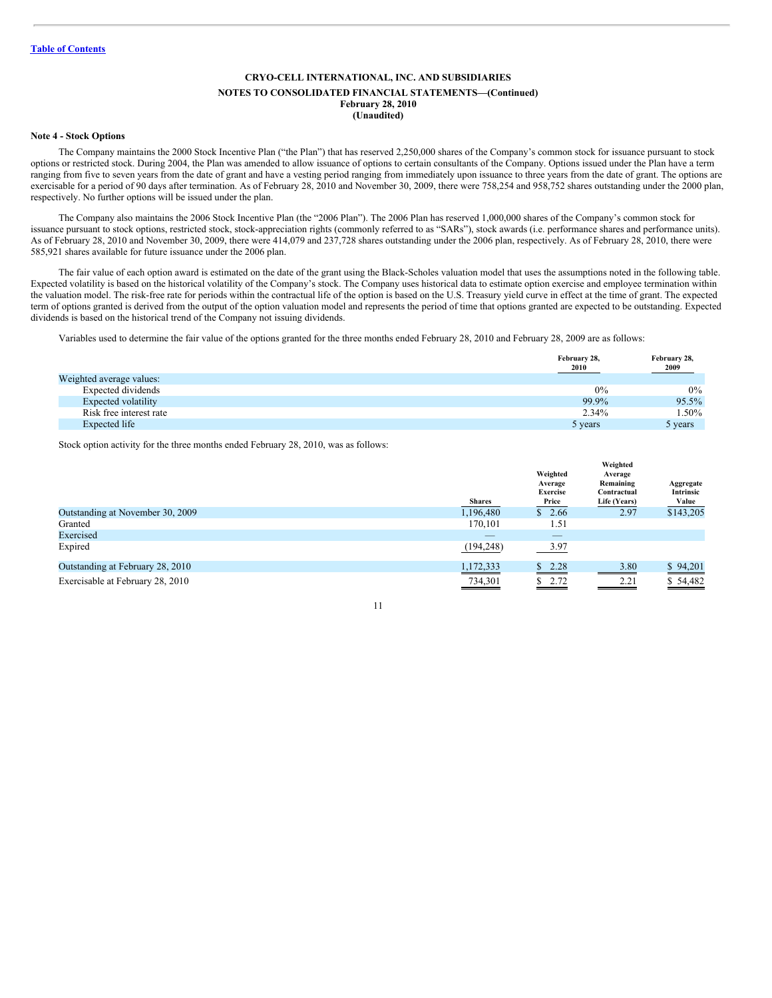## **CRYO-CELL INTERNATIONAL, INC. AND SUBSIDIARIES NOTES TO CONSOLIDATED FINANCIAL STATEMENTS—(Continued) February 28, 2010 (Unaudited)**

## **Note 4 - Stock Options**

The Company maintains the 2000 Stock Incentive Plan ("the Plan") that has reserved 2,250,000 shares of the Company's common stock for issuance pursuant to stock options or restricted stock. During 2004, the Plan was amended to allow issuance of options to certain consultants of the Company. Options issued under the Plan have a term ranging from five to seven years from the date of grant and have a vesting period ranging from immediately upon issuance to three years from the date of grant. The options are exercisable for a period of 90 days after termination. As of February 28, 2010 and November 30, 2009, there were 758,254 and 958,752 shares outstanding under the 2000 plan, respectively. No further options will be issued under the plan.

The Company also maintains the 2006 Stock Incentive Plan (the "2006 Plan"). The 2006 Plan has reserved 1,000,000 shares of the Company's common stock for issuance pursuant to stock options, restricted stock, stock-appreciation rights (commonly referred to as "SARs"), stock awards (i.e. performance shares and performance units). As of February 28, 2010 and November 30, 2009, there were 414,079 and 237,728 shares outstanding under the 2006 plan, respectively. As of February 28, 2010, there were 585,921 shares available for future issuance under the 2006 plan.

The fair value of each option award is estimated on the date of the grant using the Black-Scholes valuation model that uses the assumptions noted in the following table. Expected volatility is based on the historical volatility of the Company's stock. The Company uses historical data to estimate option exercise and employee termination within the valuation model. The risk-free rate for periods within the contractual life of the option is based on the U.S. Treasury yield curve in effect at the time of grant. The expected term of options granted is derived from the output of the option valuation model and represents the period of time that options granted are expected to be outstanding. Expected dividends is based on the historical trend of the Company not issuing dividends.

Variables used to determine the fair value of the options granted for the three months ended February 28, 2010 and February 28, 2009 are as follows:

|                          | February 28,<br>2010 | February 28,<br>$-2009$ |
|--------------------------|----------------------|-------------------------|
| Weighted average values: |                      |                         |
| Expected dividends       | 0%                   | $0\%$                   |
| Expected volatility      | 99.9%                | $95.5\%$                |
| Risk free interest rate  | 2.34%                | 1.50%                   |
| Expected life            | 5 years              | 5 years                 |

Stock option activity for the three months ended February 28, 2010, was as follows:

|                                  | <b>Shares</b> | Weighted<br>Average<br><b>Exercise</b><br>Price | Weighted<br>Average<br>Remaining<br>Contractual<br>Life (Years) | Aggregate<br>Intrinsic<br>Value |
|----------------------------------|---------------|-------------------------------------------------|-----------------------------------------------------------------|---------------------------------|
| Outstanding at November 30, 2009 | 1,196,480     | 2.66<br>\$.                                     | 2.97                                                            | \$143,205                       |
| Granted                          | 170.101       | 1.51                                            |                                                                 |                                 |
| Exercised                        |               | _                                               |                                                                 |                                 |
| Expired                          | (194, 248)    | 3.97                                            |                                                                 |                                 |
| Outstanding at February 28, 2010 | 1,172,333     | 2.28<br>S.                                      | 3.80                                                            | \$94,201                        |
| Exercisable at February 28, 2010 | 734,301       | \$2.72                                          | 2.21                                                            | \$54,482                        |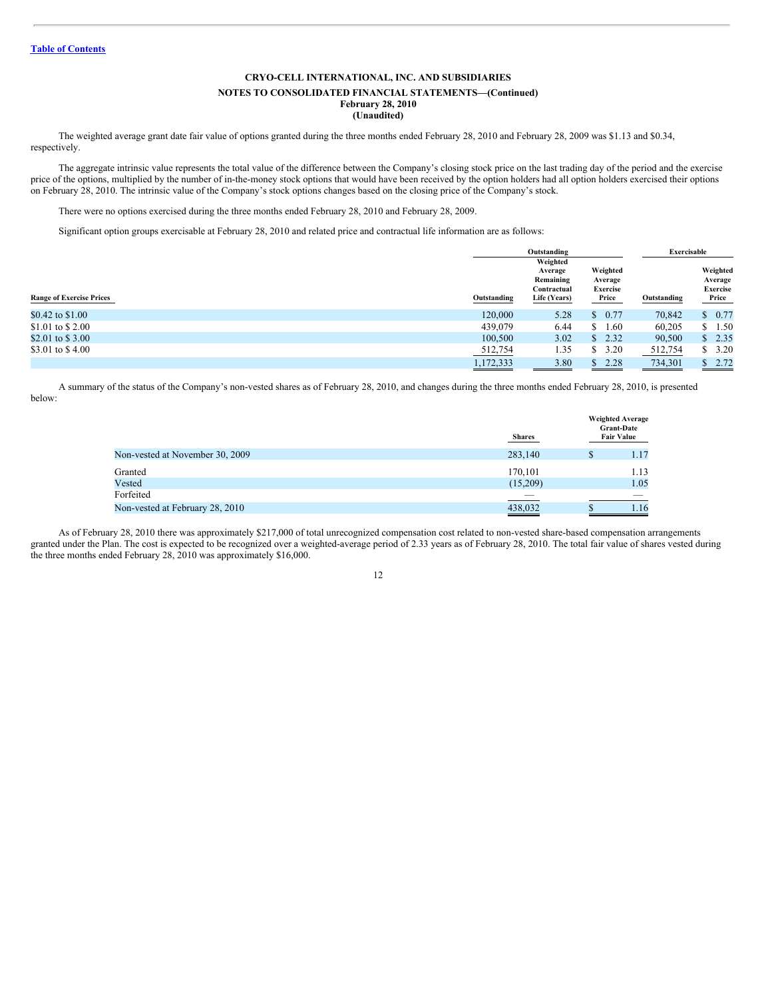## **NOTES TO CONSOLIDATED FINANCIAL STATEMENTS—(Continued) February 28, 2010**

## **(Unaudited)**

The weighted average grant date fair value of options granted during the three months ended February 28, 2010 and February 28, 2009 was \$1.13 and \$0.34, respectively.

The aggregate intrinsic value represents the total value of the difference between the Company's closing stock price on the last trading day of the period and the exercise price of the options, multiplied by the number of in-the-money stock options that would have been received by the option holders had all option holders exercised their options on February 28, 2010. The intrinsic value of the Company's stock options changes based on the closing price of the Company's stock.

There were no options exercised during the three months ended February 28, 2010 and February 28, 2009.

Significant option groups exercisable at February 28, 2010 and related price and contractual life information are as follows:

|                                 |             | Outstanding                                                     |                                                 |             | Exercisable                                     |  |
|---------------------------------|-------------|-----------------------------------------------------------------|-------------------------------------------------|-------------|-------------------------------------------------|--|
| <b>Range of Exercise Prices</b> | Outstanding | Weighted<br>Average<br>Remaining<br>Contractual<br>Life (Years) | Weighted<br>Average<br><b>Exercise</b><br>Price | Outstanding | Weighted<br>Average<br><b>Exercise</b><br>Price |  |
| \$0.42 to \$1.00                | 120,000     | 5.28                                                            | \$0.77                                          | 70,842      | 0.77<br>\$                                      |  |
| \$1.01 to \$2.00                | 439,079     | 6.44                                                            | 1.60<br>D                                       | 60,205      | 1.50<br>\$                                      |  |
| \$2.01 to \$3.00                | 100,500     | 3.02                                                            | \$2.32                                          | 90,500      | 2.35<br>\$                                      |  |
| \$3.01 to \$4.00                | 512,754     | 1.35                                                            | 3.20<br>S.                                      | 512,754     | 3.20<br>\$                                      |  |
|                                 | 1,172,333   | 3.80                                                            | \$2.28                                          | 734,301     | 2.72                                            |  |

A summary of the status of the Company's non-vested shares as of February 28, 2010, and changes during the three months ended February 28, 2010, is presented below:

|                                 | <b>Shares</b> |   | <b>Weighted Average</b><br><b>Grant-Date</b><br><b>Fair Value</b> |
|---------------------------------|---------------|---|-------------------------------------------------------------------|
| Non-vested at November 30, 2009 | 283,140       | S | 1.17                                                              |
| Granted                         | 170.101       |   | 1.13                                                              |
| Vested                          | (15,209)      |   | 1.05                                                              |
| Forfeited                       |               |   |                                                                   |
| Non-vested at February 28, 2010 | 438,032       |   | 1.16                                                              |

As of February 28, 2010 there was approximately \$217,000 of total unrecognized compensation cost related to non-vested share-based compensation arrangements granted under the Plan. The cost is expected to be recognized over a weighted-average period of 2.33 years as of February 28, 2010. The total fair value of shares vested during the three months ended February 28, 2010 was approximately \$16,000.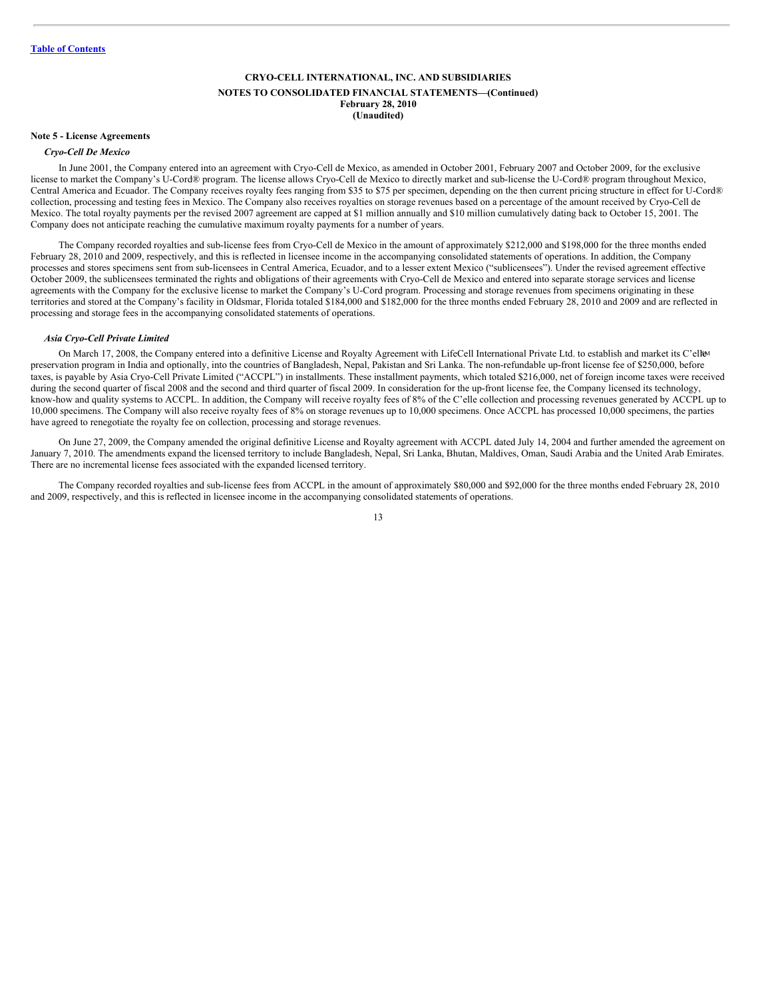## **CRYO-CELL INTERNATIONAL, INC. AND SUBSIDIARIES NOTES TO CONSOLIDATED FINANCIAL STATEMENTS—(Continued) February 28, 2010 (Unaudited)**

## **Note 5 - License Agreements**

### *Cryo-Cell De Mexico*

In June 2001, the Company entered into an agreement with Cryo-Cell de Mexico, as amended in October 2001, February 2007 and October 2009, for the exclusive license to market the Company's U-Cord® program. The license allows Cryo-Cell de Mexico to directly market and sub-license the U-Cord® program throughout Mexico, Central America and Ecuador. The Company receives royalty fees ranging from \$35 to \$75 per specimen, depending on the then current pricing structure in effect for U-Cord® collection, processing and testing fees in Mexico. The Company also receives royalties on storage revenues based on a percentage of the amount received by Cryo-Cell de Mexico. The total royalty payments per the revised 2007 agreement are capped at \$1 million annually and \$10 million cumulatively dating back to October 15, 2001. The Company does not anticipate reaching the cumulative maximum royalty payments for a number of years.

The Company recorded royalties and sub-license fees from Cryo-Cell de Mexico in the amount of approximately \$212,000 and \$198,000 for the three months ended February 28, 2010 and 2009, respectively, and this is reflected in licensee income in the accompanying consolidated statements of operations. In addition, the Company processes and stores specimens sent from sub-licensees in Central America, Ecuador, and to a lesser extent Mexico ("sublicensees"). Under the revised agreement effective October 2009, the sublicensees terminated the rights and obligations of their agreements with Cryo-Cell de Mexico and entered into separate storage services and license agreements with the Company for the exclusive license to market the Company's U-Cord program. Processing and storage revenues from specimens originating in these territories and stored at the Company's facility in Oldsmar, Florida totaled \$184,000 and \$182,000 for the three months ended February 28, 2010 and 2009 and are reflected in processing and storage fees in the accompanying consolidated statements of operations.

#### *Asia Cryo-Cell Private Limited*

On March 17, 2008, the Company entered into a definitive License and Royalty Agreement with LifeCell International Private Ltd. to establish and market its C'ell<sup>ga</sup> preservation program in India and optionally, into the countries of Bangladesh, Nepal, Pakistan and Sri Lanka. The non-refundable up-front license fee of \$250,000, before taxes, is payable by Asia Cryo-Cell Private Limited ("ACCPL") in installments. These installment payments, which totaled \$216,000, net of foreign income taxes were received during the second quarter of fiscal 2008 and the second and third quarter of fiscal 2009. In consideration for the up-front license fee, the Company licensed its technology, know-how and quality systems to ACCPL. In addition, the Company will receive royalty fees of 8% of the C'elle collection and processing revenues generated by ACCPL up to 10,000 specimens. The Company will also receive royalty fees of 8% on storage revenues up to 10,000 specimens. Once ACCPL has processed 10,000 specimens, the parties have agreed to renegotiate the royalty fee on collection, processing and storage revenues.

On June 27, 2009, the Company amended the original definitive License and Royalty agreement with ACCPL dated July 14, 2004 and further amended the agreement on January 7, 2010. The amendments expand the licensed territory to include Bangladesh, Nepal, Sri Lanka, Bhutan, Maldives, Oman, Saudi Arabia and the United Arab Emirates. There are no incremental license fees associated with the expanded licensed territory.

The Company recorded royalties and sub-license fees from ACCPL in the amount of approximately \$80,000 and \$92,000 for the three months ended February 28, 2010 and 2009, respectively, and this is reflected in licensee income in the accompanying consolidated statements of operations.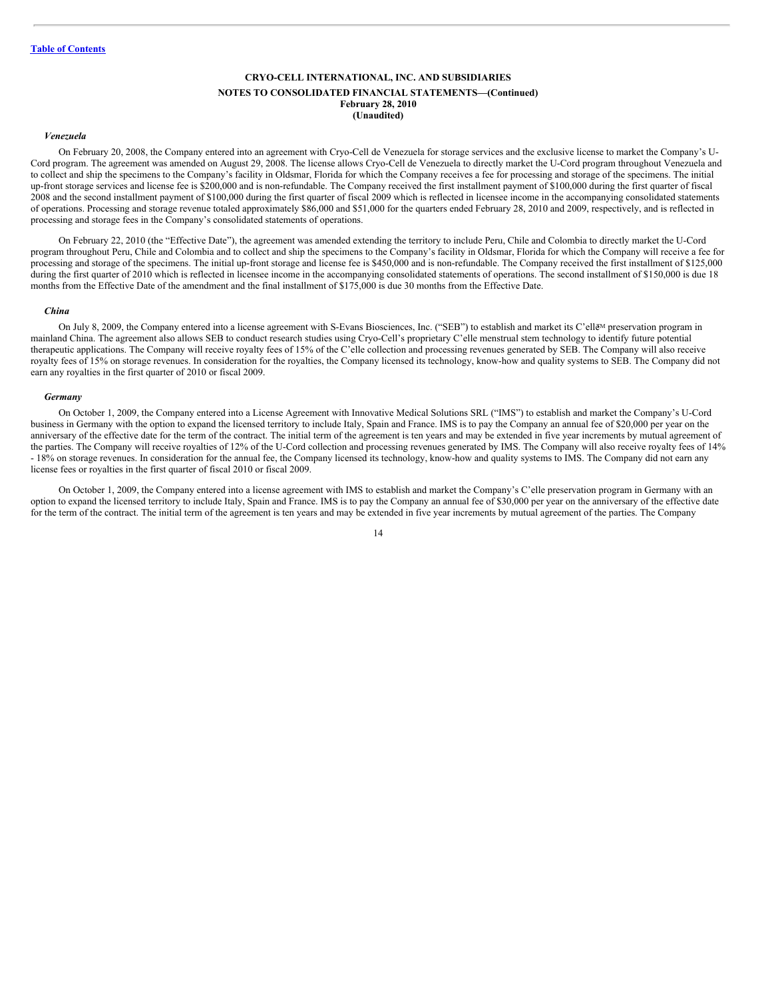## **CRYO-CELL INTERNATIONAL, INC. AND SUBSIDIARIES NOTES TO CONSOLIDATED FINANCIAL STATEMENTS—(Continued) February 28, 2010 (Unaudited)**

## *Venezuela*

On February 20, 2008, the Company entered into an agreement with Cryo-Cell de Venezuela for storage services and the exclusive license to market the Company's U-Cord program. The agreement was amended on August 29, 2008. The license allows Cryo-Cell de Venezuela to directly market the U-Cord program throughout Venezuela and to collect and ship the specimens to the Company's facility in Oldsmar, Florida for which the Company receives a fee for processing and storage of the specimens. The initial up-front storage services and license fee is \$200,000 and is non-refundable. The Company received the first installment payment of \$100,000 during the first quarter of fiscal 2008 and the second installment payment of \$100,000 during the first quarter of fiscal 2009 which is reflected in licensee income in the accompanying consolidated statements of operations. Processing and storage revenue totaled approximately \$86,000 and \$51,000 for the quarters ended February 28, 2010 and 2009, respectively, and is reflected in processing and storage fees in the Company's consolidated statements of operations.

On February 22, 2010 (the "Effective Date"), the agreement was amended extending the territory to include Peru, Chile and Colombia to directly market the U-Cord program throughout Peru, Chile and Colombia and to collect and ship the specimens to the Company's facility in Oldsmar, Florida for which the Company will receive a fee for processing and storage of the specimens. The initial up-front storage and license fee is \$450,000 and is non-refundable. The Company received the first installment of \$125,000 during the first quarter of 2010 which is reflected in licensee income in the accompanying consolidated statements of operations. The second installment of \$150,000 is due 18 months from the Effective Date of the amendment and the final installment of \$175,000 is due 30 months from the Effective Date.

#### *China*

On July 8, 2009, the Company entered into a license agreement with S-Evans Biosciences, Inc. ("SEB") to establish and market its C'ell&M preservation program in mainland China. The agreement also allows SEB to conduct research studies using Cryo-Cell's proprietary C'elle menstrual stem technology to identify future potential therapeutic applications. The Company will receive royalty fees of 15% of the C'elle collection and processing revenues generated by SEB. The Company will also receive royalty fees of 15% on storage revenues. In consideration for the royalties, the Company licensed its technology, know-how and quality systems to SEB. The Company did not earn any royalties in the first quarter of 2010 or fiscal 2009.

#### *Germany*

On October 1, 2009, the Company entered into a License Agreement with Innovative Medical Solutions SRL ("IMS") to establish and market the Company's U-Cord business in Germany with the option to expand the licensed territory to include Italy, Spain and France. IMS is to pay the Company an annual fee of \$20,000 per year on the anniversary of the effective date for the term of the contract. The initial term of the agreement is ten years and may be extended in five year increments by mutual agreement of the parties. The Company will receive royalties of 12% of the U-Cord collection and processing revenues generated by IMS. The Company will also receive royalty fees of 14% - 18% on storage revenues. In consideration for the annual fee, the Company licensed its technology, know-how and quality systems to IMS. The Company did not earn any license fees or royalties in the first quarter of fiscal 2010 or fiscal 2009.

On October 1, 2009, the Company entered into a license agreement with IMS to establish and market the Company's C'elle preservation program in Germany with an option to expand the licensed territory to include Italy, Spain and France. IMS is to pay the Company an annual fee of \$30,000 per year on the anniversary of the effective date for the term of the contract. The initial term of the agreement is ten years and may be extended in five year increments by mutual agreement of the parties. The Company

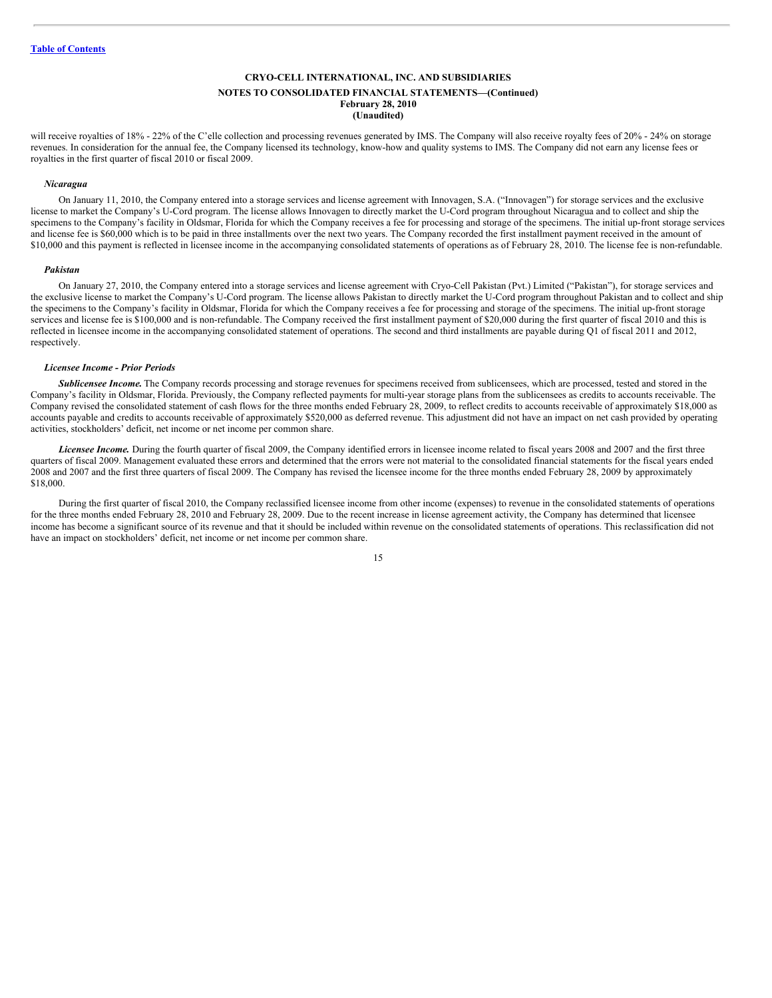#### **NOTES TO CONSOLIDATED FINANCIAL STATEMENTS—(Continued) February 28, 2010 (Unaudited)**

will receive royalties of 18% - 22% of the C'elle collection and processing revenues generated by IMS. The Company will also receive royalty fees of 20% - 24% on storage revenues. In consideration for the annual fee, the Company licensed its technology, know-how and quality systems to IMS. The Company did not earn any license fees or royalties in the first quarter of fiscal 2010 or fiscal 2009.

#### *Nicaragua*

On January 11, 2010, the Company entered into a storage services and license agreement with Innovagen, S.A. ("Innovagen") for storage services and the exclusive license to market the Company's U-Cord program. The license allows Innovagen to directly market the U-Cord program throughout Nicaragua and to collect and ship the specimens to the Company's facility in Oldsmar, Florida for which the Company receives a fee for processing and storage of the specimens. The initial up-front storage services and license fee is \$60,000 which is to be paid in three installments over the next two years. The Company recorded the first installment payment received in the amount of \$10,000 and this payment is reflected in licensee income in the accompanying consolidated statements of operations as of February 28, 2010. The license fee is non-refundable.

#### *Pakistan*

On January 27, 2010, the Company entered into a storage services and license agreement with Cryo-Cell Pakistan (Pvt.) Limited ("Pakistan"), for storage services and the exclusive license to market the Company's U-Cord program. The license allows Pakistan to directly market the U-Cord program throughout Pakistan and to collect and ship the specimens to the Company's facility in Oldsmar, Florida for which the Company receives a fee for processing and storage of the specimens. The initial up-front storage services and license fee is \$100,000 and is non-refundable. The Company received the first installment payment of \$20,000 during the first quarter of fiscal 2010 and this is reflected in licensee income in the accompanying consolidated statement of operations. The second and third installments are payable during Q1 of fiscal 2011 and 2012, respectively.

#### *Licensee Income - Prior Periods*

*Sublicensee Income.* The Company records processing and storage revenues for specimens received from sublicensees, which are processed, tested and stored in the Company's facility in Oldsmar, Florida. Previously, the Company reflected payments for multi-year storage plans from the sublicensees as credits to accounts receivable. The Company revised the consolidated statement of cash flows for the three months ended February 28, 2009, to reflect credits to accounts receivable of approximately \$18,000 as accounts payable and credits to accounts receivable of approximately \$520,000 as deferred revenue. This adjustment did not have an impact on net cash provided by operating activities, stockholders' deficit, net income or net income per common share.

*Licensee Income.* During the fourth quarter of fiscal 2009, the Company identified errors in licensee income related to fiscal years 2008 and 2007 and the first three quarters of fiscal 2009. Management evaluated these errors and determined that the errors were not material to the consolidated financial statements for the fiscal years ended 2008 and 2007 and the first three quarters of fiscal 2009. The Company has revised the licensee income for the three months ended February 28, 2009 by approximately \$18,000.

During the first quarter of fiscal 2010, the Company reclassified licensee income from other income (expenses) to revenue in the consolidated statements of operations for the three months ended February 28, 2010 and February 28, 2009. Due to the recent increase in license agreement activity, the Company has determined that licensee income has become a significant source of its revenue and that it should be included within revenue on the consolidated statements of operations. This reclassification did not have an impact on stockholders' deficit, net income or net income per common share.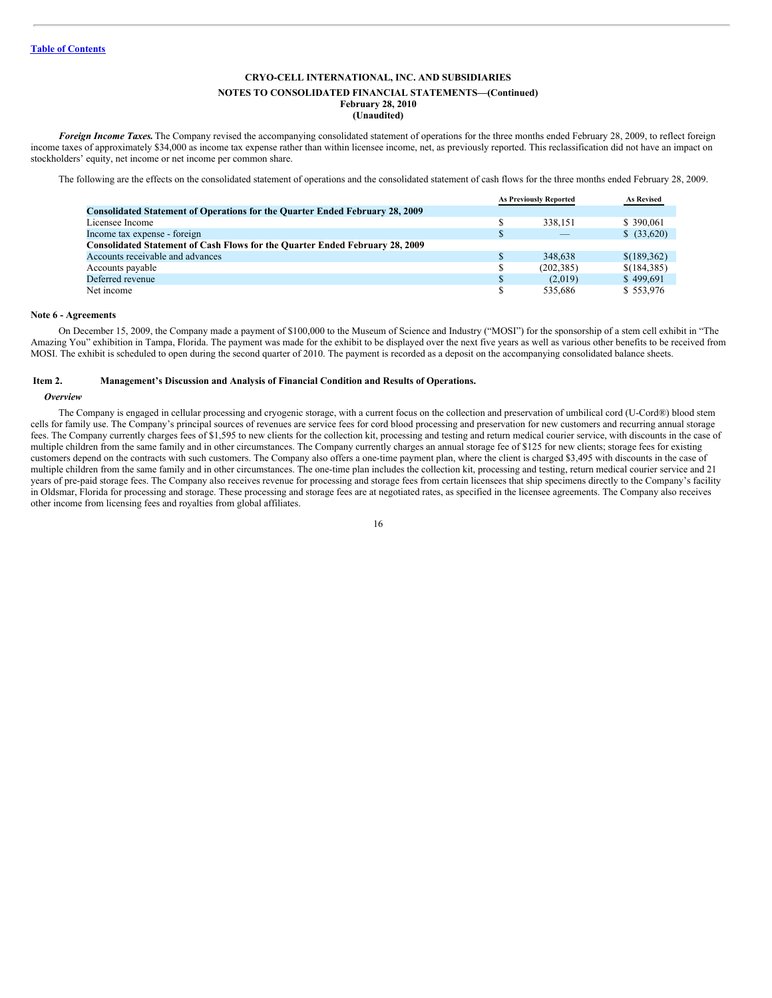#### **NOTES TO CONSOLIDATED FINANCIAL STATEMENTS—(Continued) February 28, 2010 (Unaudited)**

*Foreign Income Taxes.* The Company revised the accompanying consolidated statement of operations for the three months ended February 28, 2009, to reflect foreign income taxes of approximately \$34,000 as income tax expense rather than within licensee income, net, as previously reported. This reclassification did not have an impact on stockholders' equity, net income or net income per common share.

The following are the effects on the consolidated statement of operations and the consolidated statement of cash flows for the three months ended February 28, 2009.

|                                                                                     |   | <b>As Previously Reported</b> | <b>As Revised</b> |
|-------------------------------------------------------------------------------------|---|-------------------------------|-------------------|
| <b>Consolidated Statement of Operations for the Quarter Ended February 28, 2009</b> |   |                               |                   |
| Licensee Income                                                                     | S | 338.151                       | \$390,061         |
| Income tax expense - foreign                                                        | S |                               | \$ (33,620)       |
| <b>Consolidated Statement of Cash Flows for the Quarter Ended February 28, 2009</b> |   |                               |                   |
| Accounts receivable and advances                                                    | S | 348,638                       | \$(189, 362)      |
| Accounts payable                                                                    | S | (202, 385)                    | \$(184, 385)      |
| Deferred revenue                                                                    | S | (2,019)                       | \$499.691         |
| Net income                                                                          | S | 535.686                       | \$553,976         |

#### **Note 6 - Agreements**

On December 15, 2009, the Company made a payment of \$100,000 to the Museum of Science and Industry ("MOSI") for the sponsorship of a stem cell exhibit in "The Amazing You" exhibition in Tampa, Florida. The payment was made for the exhibit to be displayed over the next five years as well as various other benefits to be received from MOSI. The exhibit is scheduled to open during the second quarter of 2010. The payment is recorded as a deposit on the accompanying consolidated balance sheets.

### <span id="page-15-0"></span>**Item 2. Management's Discussion and Analysis of Financial Condition and Results of Operations.**

#### *Overview*

The Company is engaged in cellular processing and cryogenic storage, with a current focus on the collection and preservation of umbilical cord (U-Cord®) blood stem cells for family use. The Company's principal sources of revenues are service fees for cord blood processing and preservation for new customers and recurring annual storage fees. The Company currently charges fees of \$1,595 to new clients for the collection kit, processing and testing and return medical courier service, with discounts in the case of multiple children from the same family and in other circumstances. The Company currently charges an annual storage fee of \$125 for new clients; storage fees for existing customers depend on the contracts with such customers. The Company also offers a one-time payment plan, where the client is charged \$3,495 with discounts in the case of multiple children from the same family and in other circumstances. The one-time plan includes the collection kit, processing and testing, return medical courier service and 21 years of pre-paid storage fees. The Company also receives revenue for processing and storage fees from certain licensees that ship specimens directly to the Company's facility in Oldsmar, Florida for processing and storage. These processing and storage fees are at negotiated rates, as specified in the licensee agreements. The Company also receives other income from licensing fees and royalties from global affiliates.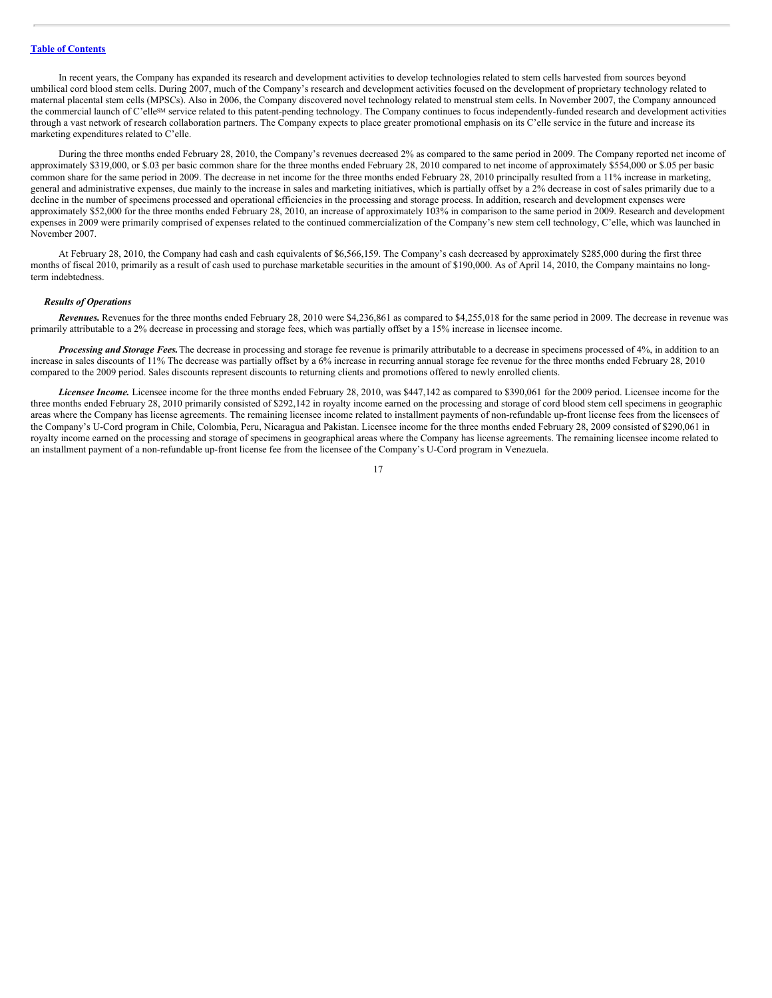In recent years, the Company has expanded its research and development activities to develop technologies related to stem cells harvested from sources beyond umbilical cord blood stem cells. During 2007, much of the Company's research and development activities focused on the development of proprietary technology related to maternal placental stem cells (MPSCs). Also in 2006, the Company discovered novel technology related to menstrual stem cells. In November 2007, the Company announced the commercial launch of C'ellesM service related to this patent-pending technology. The Company continues to focus independently-funded research and development activities through a vast network of research collaboration partners. The Company expects to place greater promotional emphasis on its C'elle service in the future and increase its marketing expenditures related to C'elle.

During the three months ended February 28, 2010, the Company's revenues decreased 2% as compared to the same period in 2009. The Company reported net income of approximately \$319,000, or \$.03 per basic common share for the three months ended February 28, 2010 compared to net income of approximately \$554,000 or \$.05 per basic common share for the same period in 2009. The decrease in net income for the three months ended February 28, 2010 principally resulted from a 11% increase in marketing, general and administrative expenses, due mainly to the increase in sales and marketing initiatives, which is partially offset by a 2% decrease in cost of sales primarily due to a decline in the number of specimens processed and operational efficiencies in the processing and storage process. In addition, research and development expenses were approximately \$52,000 for the three months ended February 28, 2010, an increase of approximately 103% in comparison to the same period in 2009. Research and development expenses in 2009 were primarily comprised of expenses related to the continued commercialization of the Company's new stem cell technology, C'elle, which was launched in November 2007.

At February 28, 2010, the Company had cash and cash equivalents of \$6,566,159. The Company's cash decreased by approximately \$285,000 during the first three months of fiscal 2010, primarily as a result of cash used to purchase marketable securities in the amount of \$190,000. As of April 14, 2010, the Company maintains no longterm indebtedness.

#### *Results of Operations*

*Revenues.* Revenues for the three months ended February 28, 2010 were \$4,236,861 as compared to \$4,255,018 for the same period in 2009. The decrease in revenue was primarily attributable to a 2% decrease in processing and storage fees, which was partially offset by a 15% increase in licensee income.

**Processing and Storage Fees.** The decrease in processing and storage fee revenue is primarily attributable to a decrease in specimens processed of 4%, in addition to an increase in sales discounts of 11% The decrease was partially offset by a 6% increase in recurring annual storage fee revenue for the three months ended February 28, 2010 compared to the 2009 period. Sales discounts represent discounts to returning clients and promotions offered to newly enrolled clients.

*Licensee Income.* Licensee income for the three months ended February 28, 2010, was \$447,142 as compared to \$390,061 for the 2009 period. Licensee income for the three months ended February 28, 2010 primarily consisted of \$292,142 in royalty income earned on the processing and storage of cord blood stem cell specimens in geographic areas where the Company has license agreements. The remaining licensee income related to installment payments of non-refundable up-front license fees from the licensees of the Company's U-Cord program in Chile, Colombia, Peru, Nicaragua and Pakistan. Licensee income for the three months ended February 28, 2009 consisted of \$290,061 in royalty income earned on the processing and storage of specimens in geographical areas where the Company has license agreements. The remaining licensee income related to an installment payment of a non-refundable up-front license fee from the licensee of the Company's U-Cord program in Venezuela.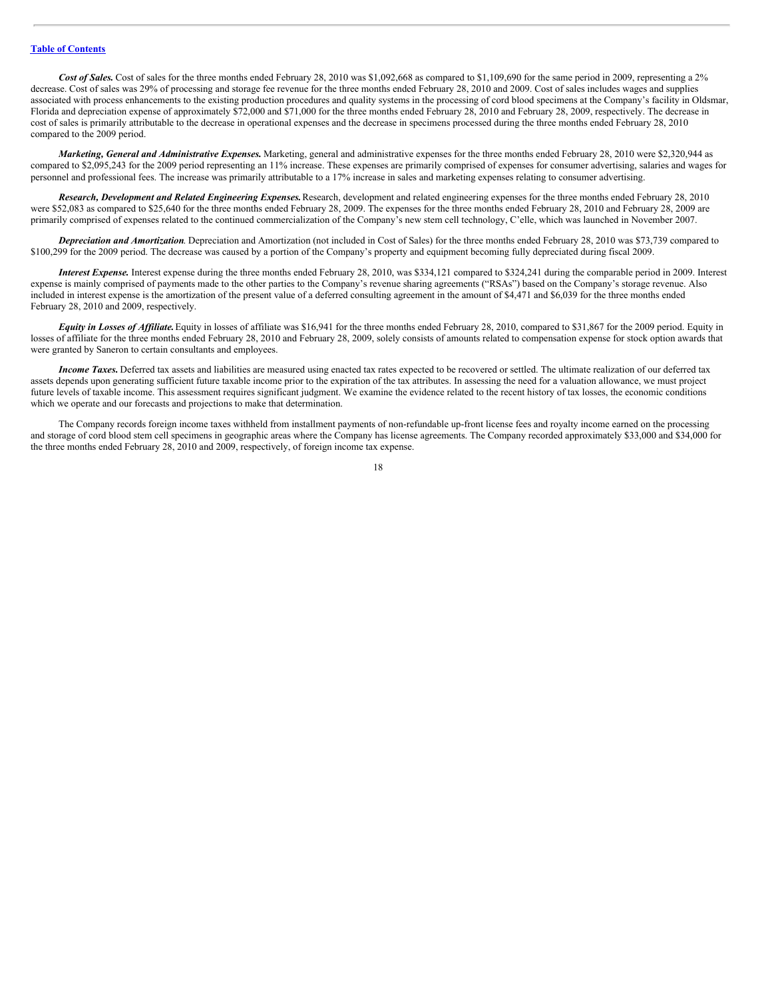*Cost of Sales.* Cost of sales for the three months ended February 28, 2010 was \$1,092,668 as compared to \$1,109,690 for the same period in 2009, representing a 2% decrease. Cost of sales was 29% of processing and storage fee revenue for the three months ended February 28, 2010 and 2009. Cost of sales includes wages and supplies associated with process enhancements to the existing production procedures and quality systems in the processing of cord blood specimens at the Company's facility in Oldsmar, Florida and depreciation expense of approximately \$72,000 and \$71,000 for the three months ended February 28, 2010 and February 28, 2009, respectively. The decrease in cost of sales is primarily attributable to the decrease in operational expenses and the decrease in specimens processed during the three months ended February 28, 2010 compared to the 2009 period.

*Marketing, General and Administrative Expenses.* Marketing, general and administrative expenses for the three months ended February 28, 2010 were \$2,320,944 as compared to \$2,095,243 for the 2009 period representing an 11% increase. These expenses are primarily comprised of expenses for consumer advertising, salaries and wages for personnel and professional fees. The increase was primarily attributable to a 17% increase in sales and marketing expenses relating to consumer advertising.

*Research, Development and Related Engineering Expenses.*Research, development and related engineering expenses for the three months ended February 28, 2010 were \$52,083 as compared to \$25,640 for the three months ended February 28, 2009. The expenses for the three months ended February 28, 2010 and February 28, 2009 are primarily comprised of expenses related to the continued commercialization of the Company's new stem cell technology, C'elle, which was launched in November 2007.

*Depreciation and Amortization*. Depreciation and Amortization (not included in Cost of Sales) for the three months ended February 28, 2010 was \$73,739 compared to \$100,299 for the 2009 period. The decrease was caused by a portion of the Company's property and equipment becoming fully depreciated during fiscal 2009.

*Interest Expense.* Interest expense during the three months ended February 28, 2010, was \$334,121 compared to \$324,241 during the comparable period in 2009. Interest expense is mainly comprised of payments made to the other parties to the Company's revenue sharing agreements ("RSAs") based on the Company's storage revenue. Also included in interest expense is the amortization of the present value of a deferred consulting agreement in the amount of \$4,471 and \$6,039 for the three months ended February 28, 2010 and 2009, respectively.

*Equity in Losses of Af iliate.*Equity in losses of affiliate was \$16,941 for the three months ended February 28, 2010, compared to \$31,867 for the 2009 period. Equity in losses of affiliate for the three months ended February 28, 2010 and February 28, 2009, solely consists of amounts related to compensation expense for stock option awards that were granted by Saneron to certain consultants and employees.

*Income Taxes***.** Deferred tax assets and liabilities are measured using enacted tax rates expected to be recovered or settled. The ultimate realization of our deferred tax assets depends upon generating sufficient future taxable income prior to the expiration of the tax attributes. In assessing the need for a valuation allowance, we must project future levels of taxable income. This assessment requires significant judgment. We examine the evidence related to the recent history of tax losses, the economic conditions which we operate and our forecasts and projections to make that determination.

The Company records foreign income taxes withheld from installment payments of non-refundable up-front license fees and royalty income earned on the processing and storage of cord blood stem cell specimens in geographic areas where the Company has license agreements. The Company recorded approximately \$33,000 and \$34,000 for the three months ended February 28, 2010 and 2009, respectively, of foreign income tax expense.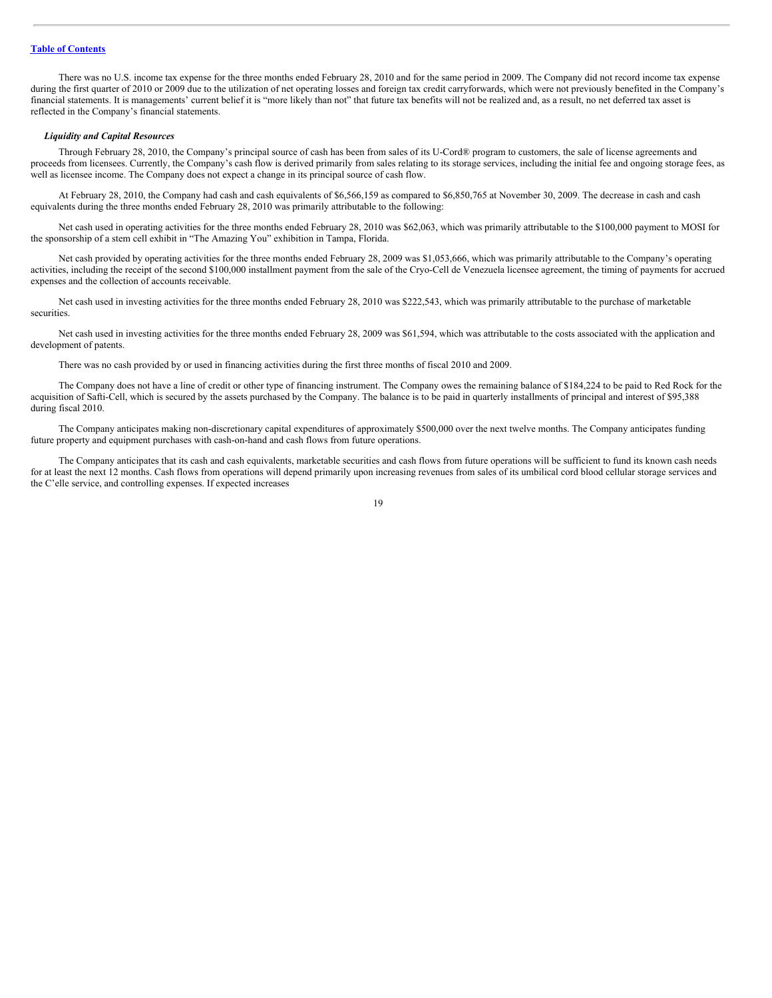## **Table of [Contents](#page-1-0)**

There was no U.S. income tax expense for the three months ended February 28, 2010 and for the same period in 2009. The Company did not record income tax expense during the first quarter of 2010 or 2009 due to the utilization of net operating losses and foreign tax credit carryforwards, which were not previously benefited in the Company's financial statements. It is managements' current belief it is "more likely than not" that future tax benefits will not be realized and, as a result, no net deferred tax asset is reflected in the Company's financial statements.

## *Liquidity and Capital Resources*

Through February 28, 2010, the Company's principal source of cash has been from sales of its U-Cord® program to customers, the sale of license agreements and proceeds from licensees. Currently, the Company's cash flow is derived primarily from sales relating to its storage services, including the initial fee and ongoing storage fees, as well as licensee income. The Company does not expect a change in its principal source of cash flow.

At February 28, 2010, the Company had cash and cash equivalents of \$6,566,159 as compared to \$6,850,765 at November 30, 2009. The decrease in cash and cash equivalents during the three months ended February 28, 2010 was primarily attributable to the following:

Net cash used in operating activities for the three months ended February 28, 2010 was \$62,063, which was primarily attributable to the \$100,000 payment to MOSI for the sponsorship of a stem cell exhibit in "The Amazing You" exhibition in Tampa, Florida.

Net cash provided by operating activities for the three months ended February 28, 2009 was \$1,053,666, which was primarily attributable to the Company's operating activities, including the receipt of the second \$100,000 installment payment from the sale of the Cryo-Cell de Venezuela licensee agreement, the timing of payments for accrued expenses and the collection of accounts receivable.

Net cash used in investing activities for the three months ended February 28, 2010 was \$222,543, which was primarily attributable to the purchase of marketable securities.

Net cash used in investing activities for the three months ended February 28, 2009 was \$61,594, which was attributable to the costs associated with the application and development of patents.

There was no cash provided by or used in financing activities during the first three months of fiscal 2010 and 2009.

The Company does not have a line of credit or other type of financing instrument. The Company owes the remaining balance of \$184,224 to be paid to Red Rock for the acquisition of Safti-Cell, which is secured by the assets purchased by the Company. The balance is to be paid in quarterly installments of principal and interest of \$95,388 during fiscal 2010.

The Company anticipates making non-discretionary capital expenditures of approximately \$500,000 over the next twelve months. The Company anticipates funding future property and equipment purchases with cash-on-hand and cash flows from future operations.

The Company anticipates that its cash and cash equivalents, marketable securities and cash flows from future operations will be sufficient to fund its known cash needs for at least the next 12 months. Cash flows from operations will depend primarily upon increasing revenues from sales of its umbilical cord blood cellular storage services and the C'elle service, and controlling expenses. If expected increases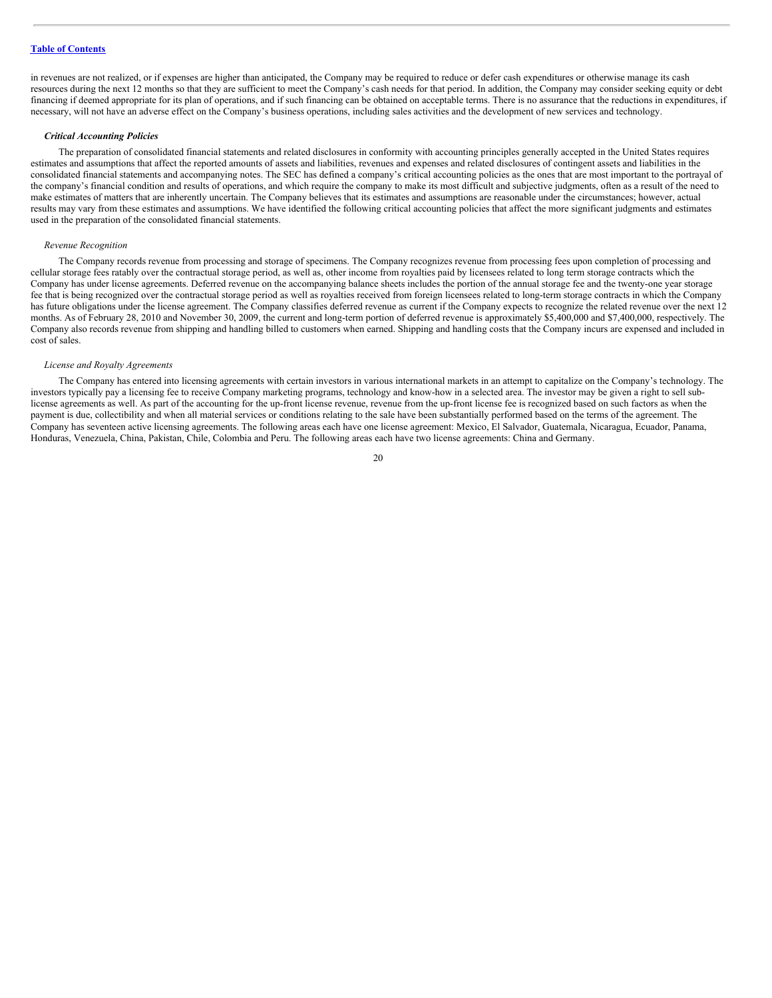## **Table of [Contents](#page-1-0)**

in revenues are not realized, or if expenses are higher than anticipated, the Company may be required to reduce or defer cash expenditures or otherwise manage its cash resources during the next 12 months so that they are sufficient to meet the Company's cash needs for that period. In addition, the Company may consider seeking equity or debt financing if deemed appropriate for its plan of operations, and if such financing can be obtained on acceptable terms. There is no assurance that the reductions in expenditures, if necessary, will not have an adverse effect on the Company's business operations, including sales activities and the development of new services and technology.

### *Critical Accounting Policies*

The preparation of consolidated financial statements and related disclosures in conformity with accounting principles generally accepted in the United States requires estimates and assumptions that affect the reported amounts of assets and liabilities, revenues and expenses and related disclosures of contingent assets and liabilities in the consolidated financial statements and accompanying notes. The SEC has defined a company's critical accounting policies as the ones that are most important to the portrayal of the company's financial condition and results of operations, and which require the company to make its most difficult and subjective judgments, often as a result of the need to make estimates of matters that are inherently uncertain. The Company believes that its estimates and assumptions are reasonable under the circumstances; however, actual results may vary from these estimates and assumptions. We have identified the following critical accounting policies that affect the more significant judgments and estimates used in the preparation of the consolidated financial statements.

#### *Revenue Recognition*

The Company records revenue from processing and storage of specimens. The Company recognizes revenue from processing fees upon completion of processing and cellular storage fees ratably over the contractual storage period, as well as, other income from royalties paid by licensees related to long term storage contracts which the Company has under license agreements. Deferred revenue on the accompanying balance sheets includes the portion of the annual storage fee and the twenty-one year storage fee that is being recognized over the contractual storage period as well as royalties received from foreign licensees related to long-term storage contracts in which the Company has future obligations under the license agreement. The Company classifies deferred revenue as current if the Company expects to recognize the related revenue over the next 12 months. As of February 28, 2010 and November 30, 2009, the current and long-term portion of deferred revenue is approximately \$5,400,000 and \$7,400,000, respectively. The Company also records revenue from shipping and handling billed to customers when earned. Shipping and handling costs that the Company incurs are expensed and included in cost of sales.

#### *License and Royalty Agreements*

The Company has entered into licensing agreements with certain investors in various international markets in an attempt to capitalize on the Company's technology. The investors typically pay a licensing fee to receive Company marketing programs, technology and know-how in a selected area. The investor may be given a right to sell sublicense agreements as well. As part of the accounting for the up-front license revenue, revenue from the up-front license fee is recognized based on such factors as when the payment is due, collectibility and when all material services or conditions relating to the sale have been substantially performed based on the terms of the agreement. The Company has seventeen active licensing agreements. The following areas each have one license agreement: Mexico, El Salvador, Guatemala, Nicaragua, Ecuador, Panama, Honduras, Venezuela, China, Pakistan, Chile, Colombia and Peru. The following areas each have two license agreements: China and Germany.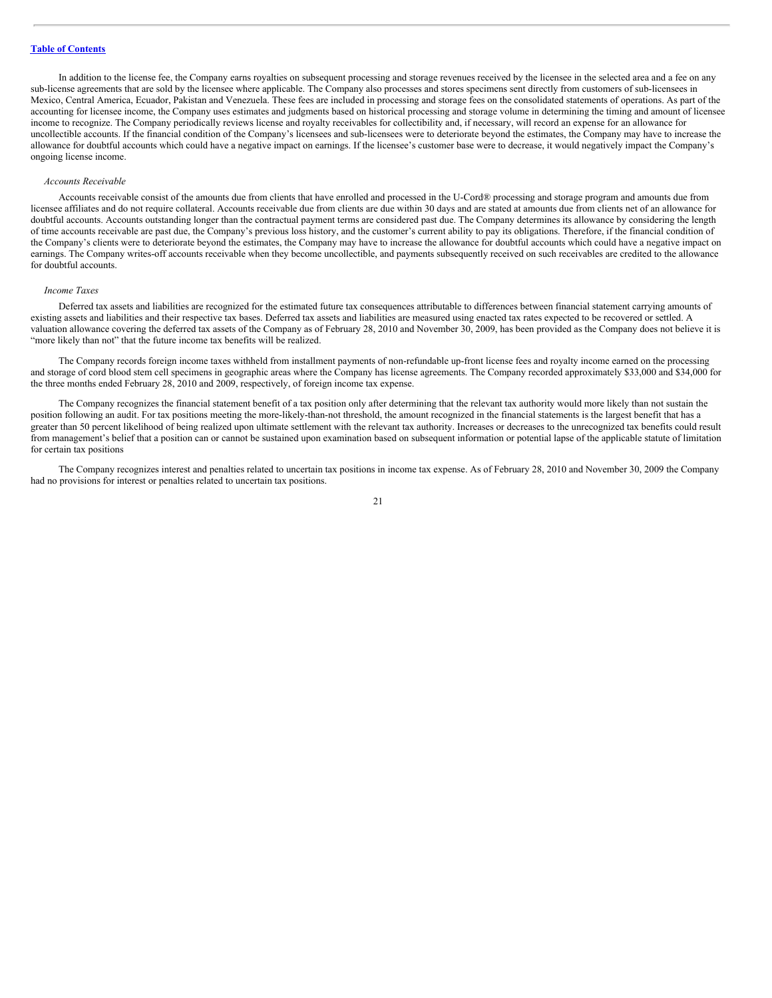In addition to the license fee, the Company earns royalties on subsequent processing and storage revenues received by the licensee in the selected area and a fee on any sub-license agreements that are sold by the licensee where applicable. The Company also processes and stores specimens sent directly from customers of sub-licensees in Mexico, Central America, Ecuador, Pakistan and Venezuela. These fees are included in processing and storage fees on the consolidated statements of operations. As part of the accounting for licensee income, the Company uses estimates and judgments based on historical processing and storage volume in determining the timing and amount of licensee income to recognize. The Company periodically reviews license and royalty receivables for collectibility and, if necessary, will record an expense for an allowance for uncollectible accounts. If the financial condition of the Company's licensees and sub-licensees were to deteriorate beyond the estimates, the Company may have to increase the allowance for doubtful accounts which could have a negative impact on earnings. If the licensee's customer base were to decrease, it would negatively impact the Company's ongoing license income.

#### *Accounts Receivable*

Accounts receivable consist of the amounts due from clients that have enrolled and processed in the U-Cord® processing and storage program and amounts due from licensee affiliates and do not require collateral. Accounts receivable due from clients are due within 30 days and are stated at amounts due from clients net of an allowance for doubtful accounts. Accounts outstanding longer than the contractual payment terms are considered past due. The Company determines its allowance by considering the length of time accounts receivable are past due, the Company's previous loss history, and the customer's current ability to pay its obligations. Therefore, if the financial condition of the Company's clients were to deteriorate beyond the estimates, the Company may have to increase the allowance for doubtful accounts which could have a negative impact on earnings. The Company writes-off accounts receivable when they become uncollectible, and payments subsequently received on such receivables are credited to the allowance for doubtful accounts.

#### *Income Taxes*

Deferred tax assets and liabilities are recognized for the estimated future tax consequences attributable to differences between financial statement carrying amounts of existing assets and liabilities and their respective tax bases. Deferred tax assets and liabilities are measured using enacted tax rates expected to be recovered or settled. A valuation allowance covering the deferred tax assets of the Company as of February 28, 2010 and November 30, 2009, has been provided as the Company does not believe it is "more likely than not" that the future income tax benefits will be realized.

The Company records foreign income taxes withheld from installment payments of non-refundable up-front license fees and royalty income earned on the processing and storage of cord blood stem cell specimens in geographic areas where the Company has license agreements. The Company recorded approximately \$33,000 and \$34,000 for the three months ended February 28, 2010 and 2009, respectively, of foreign income tax expense.

The Company recognizes the financial statement benefit of a tax position only after determining that the relevant tax authority would more likely than not sustain the position following an audit. For tax positions meeting the more-likely-than-not threshold, the amount recognized in the financial statements is the largest benefit that has a greater than 50 percent likelihood of being realized upon ultimate settlement with the relevant tax authority. Increases or decreases to the unrecognized tax benefits could result from management's belief that a position can or cannot be sustained upon examination based on subsequent information or potential lapse of the applicable statute of limitation for certain tax positions

The Company recognizes interest and penalties related to uncertain tax positions in income tax expense. As of February 28, 2010 and November 30, 2009 the Company had no provisions for interest or penalties related to uncertain tax positions.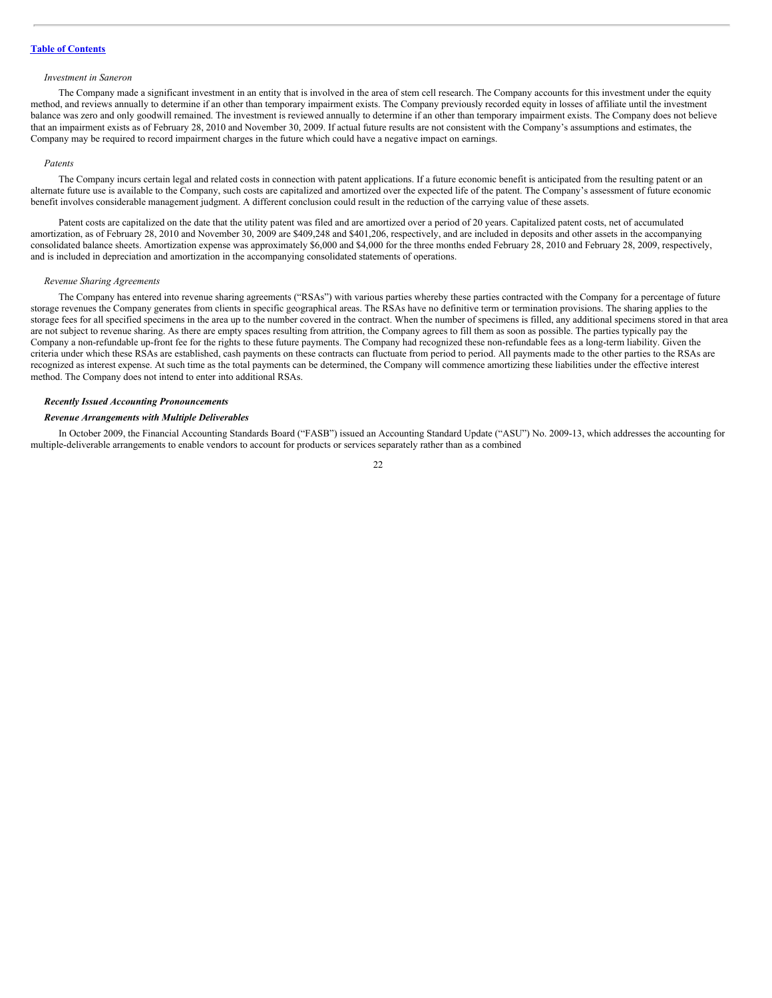## *Investment in Saneron*

The Company made a significant investment in an entity that is involved in the area of stem cell research. The Company accounts for this investment under the equity method, and reviews annually to determine if an other than temporary impairment exists. The Company previously recorded equity in losses of affiliate until the investment balance was zero and only goodwill remained. The investment is reviewed annually to determine if an other than temporary impairment exists. The Company does not believe that an impairment exists as of February 28, 2010 and November 30, 2009. If actual future results are not consistent with the Company's assumptions and estimates, the Company may be required to record impairment charges in the future which could have a negative impact on earnings.

#### *Patents*

The Company incurs certain legal and related costs in connection with patent applications. If a future economic benefit is anticipated from the resulting patent or an alternate future use is available to the Company, such costs are capitalized and amortized over the expected life of the patent. The Company's assessment of future economic benefit involves considerable management judgment. A different conclusion could result in the reduction of the carrying value of these assets.

Patent costs are capitalized on the date that the utility patent was filed and are amortized over a period of 20 years. Capitalized patent costs, net of accumulated amortization, as of February 28, 2010 and November 30, 2009 are \$409,248 and \$401,206, respectively, and are included in deposits and other assets in the accompanying consolidated balance sheets. Amortization expense was approximately \$6,000 and \$4,000 for the three months ended February 28, 2010 and February 28, 2009, respectively, and is included in depreciation and amortization in the accompanying consolidated statements of operations.

#### *Revenue Sharing Agreements*

The Company has entered into revenue sharing agreements ("RSAs") with various parties whereby these parties contracted with the Company for a percentage of future storage revenues the Company generates from clients in specific geographical areas. The RSAs have no definitive term or termination provisions. The sharing applies to the storage fees for all specified specimens in the area up to the number covered in the contract. When the number of specimens is filled, any additional specimens stored in that area are not subject to revenue sharing. As there are empty spaces resulting from attrition, the Company agrees to fill them as soon as possible. The parties typically pay the Company a non-refundable up-front fee for the rights to these future payments. The Company had recognized these non-refundable fees as a long-term liability. Given the criteria under which these RSAs are established, cash payments on these contracts can fluctuate from period to period. All payments made to the other parties to the RSAs are recognized as interest expense. At such time as the total payments can be determined, the Company will commence amortizing these liabilities under the effective interest method. The Company does not intend to enter into additional RSAs.

#### *Recently Issued Accounting Pronouncements*

#### *Revenue Arrangements with Multiple Deliverables*

In October 2009, the Financial Accounting Standards Board ("FASB") issued an Accounting Standard Update ("ASU") No. 2009-13, which addresses the accounting for multiple-deliverable arrangements to enable vendors to account for products or services separately rather than as a combined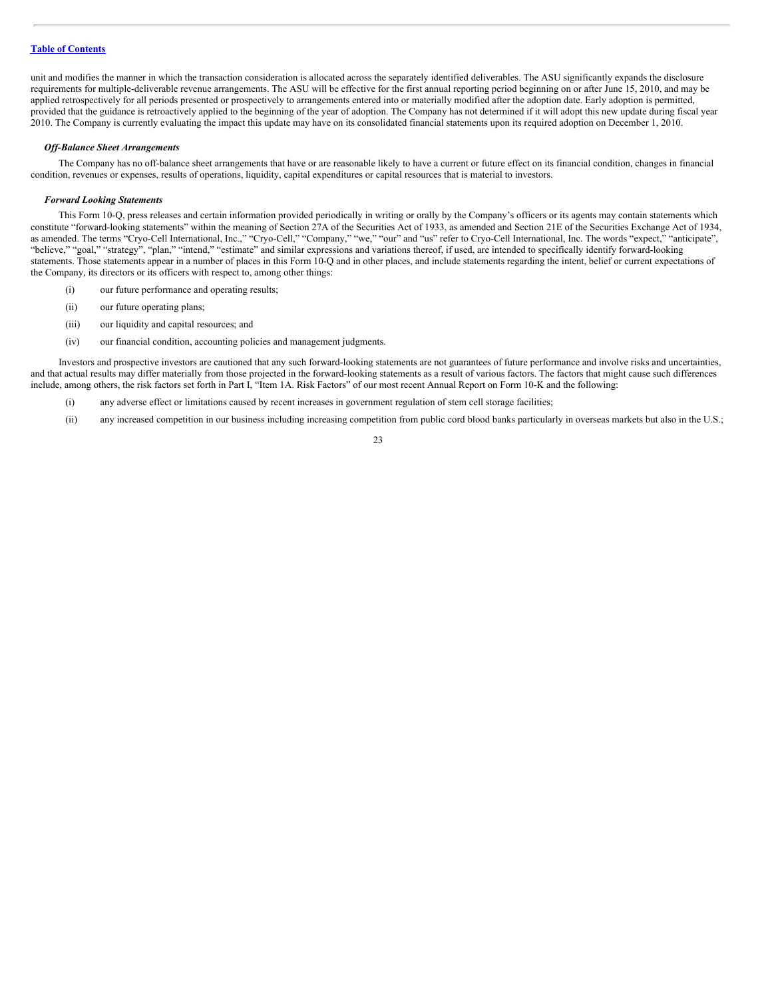## **Table of [Contents](#page-1-0)**

unit and modifies the manner in which the transaction consideration is allocated across the separately identified deliverables. The ASU significantly expands the disclosure requirements for multiple-deliverable revenue arrangements. The ASU will be effective for the first annual reporting period beginning on or after June 15, 2010, and may be applied retrospectively for all periods presented or prospectively to arrangements entered into or materially modified after the adoption date. Early adoption is permitted, provided that the guidance is retroactively applied to the beginning of the year of adoption. The Company has not determined if it will adopt this new update during fiscal year 2010. The Company is currently evaluating the impact this update may have on its consolidated financial statements upon its required adoption on December 1, 2010.

#### *Of -Balance Sheet Arrangements*

The Company has no off-balance sheet arrangements that have or are reasonable likely to have a current or future effect on its financial condition, changes in financial condition, revenues or expenses, results of operations, liquidity, capital expenditures or capital resources that is material to investors.

### *Forward Looking Statements*

This Form 10-Q, press releases and certain information provided periodically in writing or orally by the Company's officers or its agents may contain statements which constitute "forward-looking statements" within the meaning of Section 27A of the Securities Act of 1933, as amended and Section 21E of the Securities Exchange Act of 1934, as amended. The terms "Cryo-Cell International, Inc.," "Cryo-Cell," "Company," "we," "our" and "us" refer to Cryo-Cell International, Inc. The words "expect," "anticipate", "believe," "goal," "strategy", "plan," "intend," "estimate" and similar expressions and variations thereof, if used, are intended to specifically identify forward-looking statements. Those statements appear in a number of places in this Form 10-Q and in other places, and include statements regarding the intent, belief or current expectations of the Company, its directors or its officers with respect to, among other things:

- (i) our future performance and operating results;
- (ii) our future operating plans;
- (iii) our liquidity and capital resources; and
- (iv) our financial condition, accounting policies and management judgments.

Investors and prospective investors are cautioned that any such forward-looking statements are not guarantees of future performance and involve risks and uncertainties, and that actual results may differ materially from those projected in the forward-looking statements as a result of various factors. The factors that might cause such differences include, among others, the risk factors set forth in Part I, "Item 1A. Risk Factors" of our most recent Annual Report on Form 10-K and the following:

- (i) any adverse effect or limitations caused by recent increases in government regulation of stem cell storage facilities;
- (ii) any increased competition in our business including increasing competition from public cord blood banks particularly in overseas markets but also in the U.S.;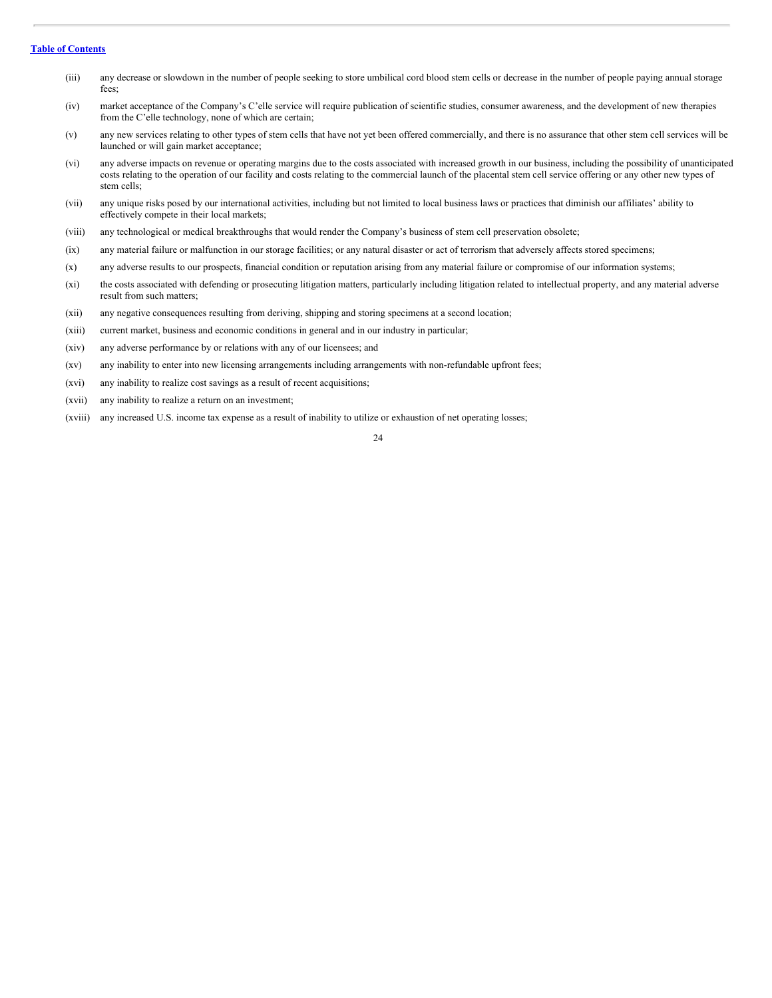## **Table of [Contents](#page-1-0)**

- (iii) any decrease or slowdown in the number of people seeking to store umbilical cord blood stem cells or decrease in the number of people paying annual storage fees;
- (iv) market acceptance of the Company's C'elle service will require publication of scientific studies, consumer awareness, and the development of new therapies from the C'elle technology, none of which are certain;
- (v) any new services relating to other types of stem cells that have not yet been offered commercially, and there is no assurance that other stem cell services will be launched or will gain market acceptance;
- (vi) any adverse impacts on revenue or operating margins due to the costs associated with increased growth in our business, including the possibility of unanticipated costs relating to the operation of our facility and costs relating to the commercial launch of the placental stem cell service offering or any other new types of stem cells;
- (vii) any unique risks posed by our international activities, including but not limited to local business laws or practices that diminish our affiliates' ability to effectively compete in their local markets;
- (viii) any technological or medical breakthroughs that would render the Company's business of stem cell preservation obsolete;
- (ix) any material failure or malfunction in our storage facilities; or any natural disaster or act of terrorism that adversely affects stored specimens;
- (x) any adverse results to our prospects, financial condition or reputation arising from any material failure or compromise of our information systems;
- (xi) the costs associated with defending or prosecuting litigation matters, particularly including litigation related to intellectual property, and any material adverse result from such matters;
- (xii) any negative consequences resulting from deriving, shipping and storing specimens at a second location;
- (xiii) current market, business and economic conditions in general and in our industry in particular;
- (xiv) any adverse performance by or relations with any of our licensees; and
- (xv) any inability to enter into new licensing arrangements including arrangements with non-refundable upfront fees;
- (xvi) any inability to realize cost savings as a result of recent acquisitions;
- (xvii) any inability to realize a return on an investment;
- (xviii) any increased U.S. income tax expense as a result of inability to utilize or exhaustion of net operating losses;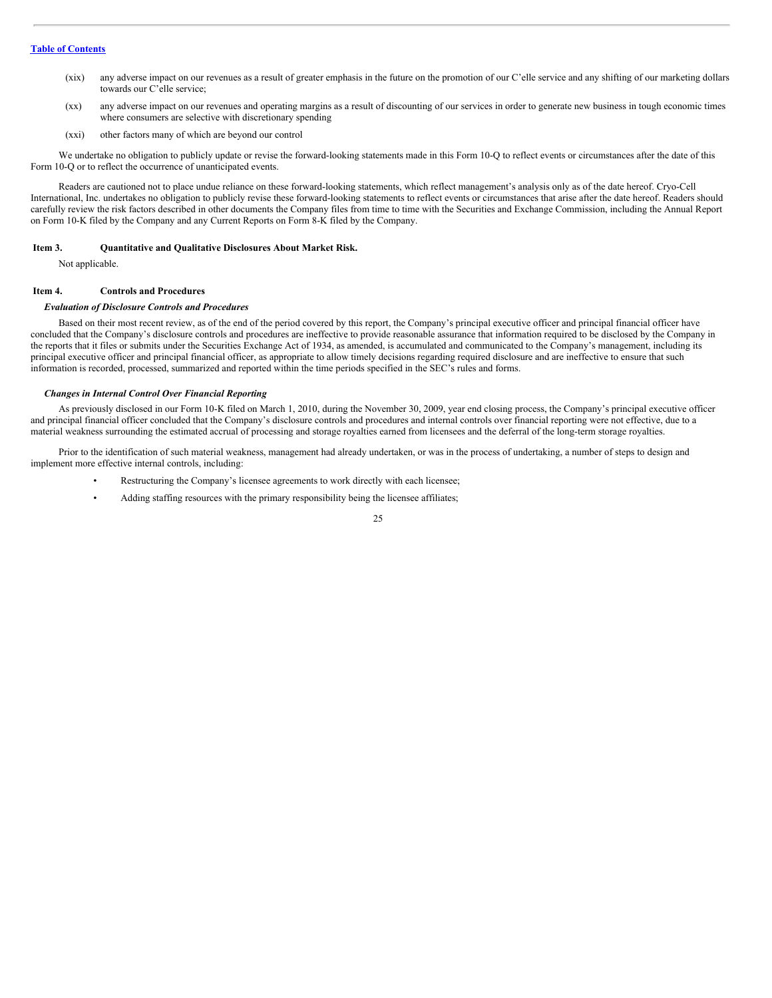- (xix) any adverse impact on our revenues as a result of greater emphasis in the future on the promotion of our C'elle service and any shifting of our marketing dollars towards our C'elle service;
- (xx) any adverse impact on our revenues and operating margins as a result of discounting of our services in order to generate new business in tough economic times where consumers are selective with discretionary spending
- (xxi) other factors many of which are beyond our control

We undertake no obligation to publicly update or revise the forward-looking statements made in this Form 10-Q to reflect events or circumstances after the date of this Form 10-Q or to reflect the occurrence of unanticipated events.

Readers are cautioned not to place undue reliance on these forward-looking statements, which reflect management's analysis only as of the date hereof. Cryo-Cell International, Inc. undertakes no obligation to publicly revise these forward-looking statements to reflect events or circumstances that arise after the date hereof. Readers should carefully review the risk factors described in other documents the Company files from time to time with the Securities and Exchange Commission, including the Annual Report on Form 10-K filed by the Company and any Current Reports on Form 8-K filed by the Company.

### <span id="page-24-0"></span>**Item 3. Quantitative and Qualitative Disclosures About Market Risk.**

Not applicable.

## <span id="page-24-1"></span>**Item 4. Controls and Procedures**

## *Evaluation of Disclosure Controls and Procedures*

Based on their most recent review, as of the end of the period covered by this report, the Company's principal executive officer and principal financial officer have concluded that the Company's disclosure controls and procedures are ineffective to provide reasonable assurance that information required to be disclosed by the Company in the reports that it files or submits under the Securities Exchange Act of 1934, as amended, is accumulated and communicated to the Company's management, including its principal executive officer and principal financial officer, as appropriate to allow timely decisions regarding required disclosure and are ineffective to ensure that such information is recorded, processed, summarized and reported within the time periods specified in the SEC's rules and forms.

## *Changes in Internal Control Over Financial Reporting*

As previously disclosed in our Form 10-K filed on March 1, 2010, during the November 30, 2009, year end closing process, the Company's principal executive officer and principal financial officer concluded that the Company's disclosure controls and procedures and internal controls over financial reporting were not effective, due to a material weakness surrounding the estimated accrual of processing and storage royalties earned from licensees and the deferral of the long-term storage royalties.

Prior to the identification of such material weakness, management had already undertaken, or was in the process of undertaking, a number of steps to design and implement more effective internal controls, including:

- Restructuring the Company's licensee agreements to work directly with each licensee;
- Adding staffing resources with the primary responsibility being the licensee affiliates;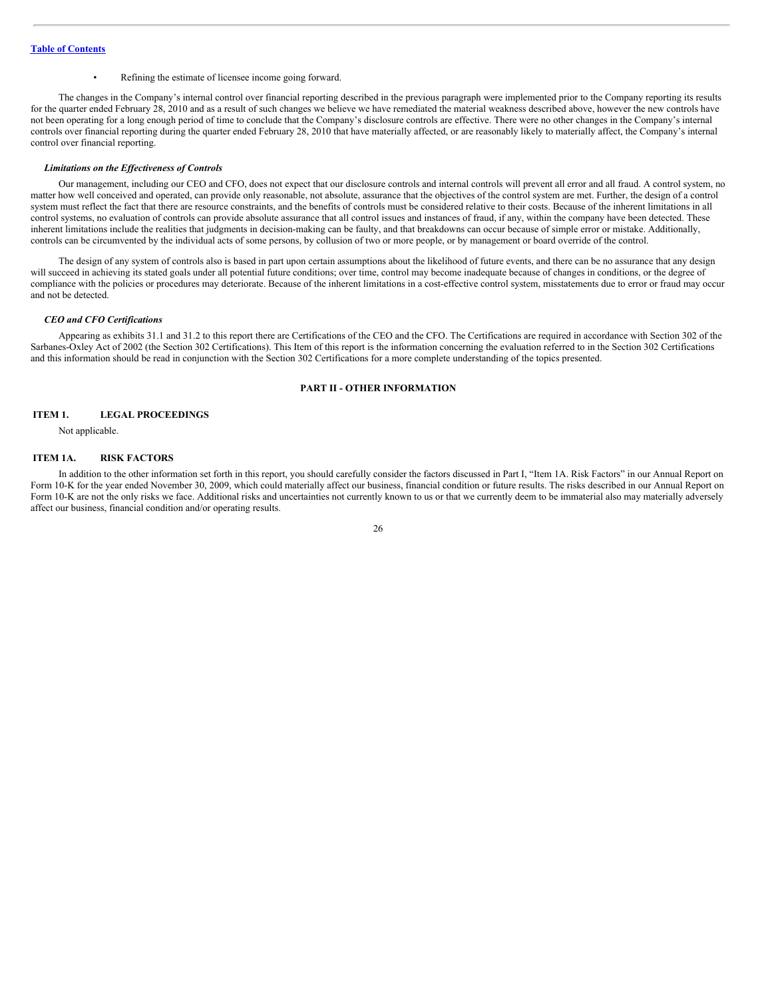Refining the estimate of licensee income going forward.

The changes in the Company's internal control over financial reporting described in the previous paragraph were implemented prior to the Company reporting its results for the quarter ended February 28, 2010 and as a result of such changes we believe we have remediated the material weakness described above, however the new controls have not been operating for a long enough period of time to conclude that the Company's disclosure controls are effective. There were no other changes in the Company's internal controls over financial reporting during the quarter ended February 28, 2010 that have materially affected, or are reasonably likely to materially affect, the Company's internal control over financial reporting.

#### *Limitations on the Ef ectiveness of Controls*

Our management, including our CEO and CFO, does not expect that our disclosure controls and internal controls will prevent all error and all fraud. A control system, no matter how well conceived and operated, can provide only reasonable, not absolute, assurance that the objectives of the control system are met. Further, the design of a control system must reflect the fact that there are resource constraints, and the benefits of controls must be considered relative to their costs. Because of the inherent limitations in all control systems, no evaluation of controls can provide absolute assurance that all control issues and instances of fraud, if any, within the company have been detected. These inherent limitations include the realities that judgments in decision-making can be faulty, and that breakdowns can occur because of simple error or mistake. Additionally, controls can be circumvented by the individual acts of some persons, by collusion of two or more people, or by management or board override of the control.

The design of any system of controls also is based in part upon certain assumptions about the likelihood of future events, and there can be no assurance that any design will succeed in achieving its stated goals under all potential future conditions; over time, control may become inadequate because of changes in conditions, or the degree of compliance with the policies or procedures may deteriorate. Because of the inherent limitations in a cost-effective control system, misstatements due to error or fraud may occur and not be detected.

### *CEO and CFO Certifications*

Appearing as exhibits 31.1 and 31.2 to this report there are Certifications of the CEO and the CFO. The Certifications are required in accordance with Section 302 of the Sarbanes-Oxley Act of 2002 (the Section 302 Certifications). This Item of this report is the information concerning the evaluation referred to in the Section 302 Certifications and this information should be read in conjunction with the Section 302 Certifications for a more complete understanding of the topics presented.

## **PART II - OTHER INFORMATION**

### <span id="page-25-0"></span>**ITEM 1. LEGAL PROCEEDINGS**

Not applicable.

## <span id="page-25-1"></span>**ITEM 1A. RISK FACTORS**

In addition to the other information set forth in this report, you should carefully consider the factors discussed in Part I, "Item 1A. Risk Factors" in our Annual Report on Form 10-K for the year ended November 30, 2009, which could materially affect our business, financial condition or future results. The risks described in our Annual Report on Form 10-K are not the only risks we face. Additional risks and uncertainties not currently known to us or that we currently deem to be immaterial also may materially adversely affect our business, financial condition and/or operating results.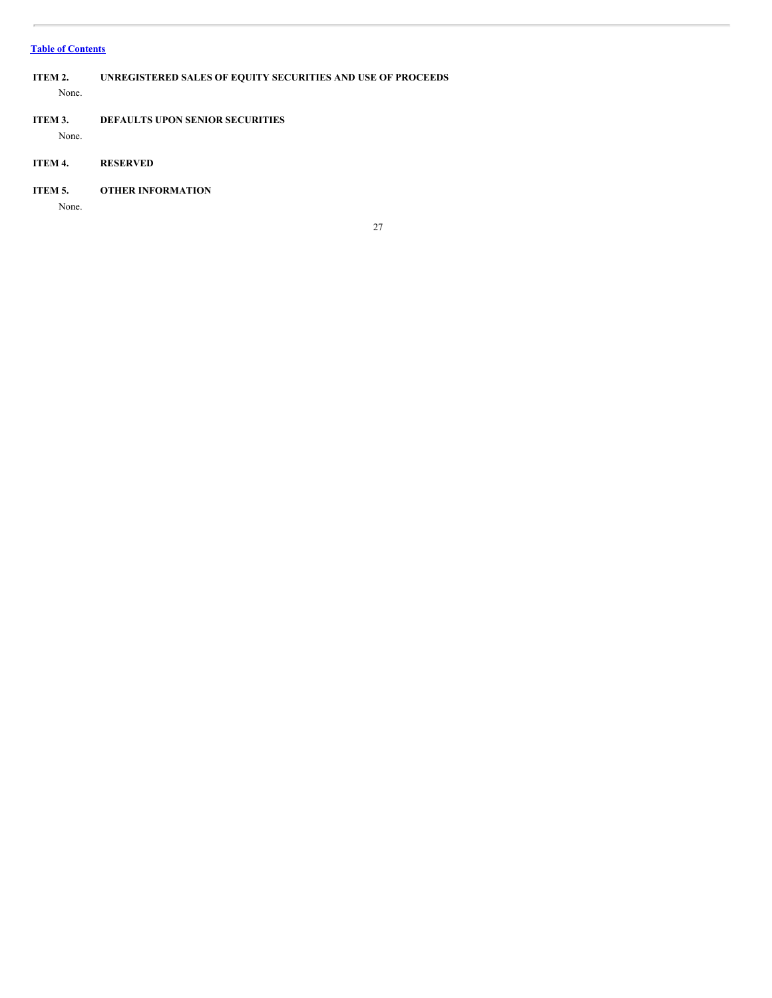## **Table of [Contents](#page-1-0)**

<span id="page-26-3"></span><span id="page-26-2"></span><span id="page-26-1"></span><span id="page-26-0"></span>

| ITEM 2.<br>None. | UNREGISTERED SALES OF EQUITY SECURITIES AND USE OF PROCEEDS |
|------------------|-------------------------------------------------------------|
| ITEM 3.<br>None. | <b>DEFAULTS UPON SENIOR SECURITIES</b>                      |
| ITEM 4.          | <b>RESERVED</b>                                             |
| ITEM 5.<br>None. | <b>OTHER INFORMATION</b>                                    |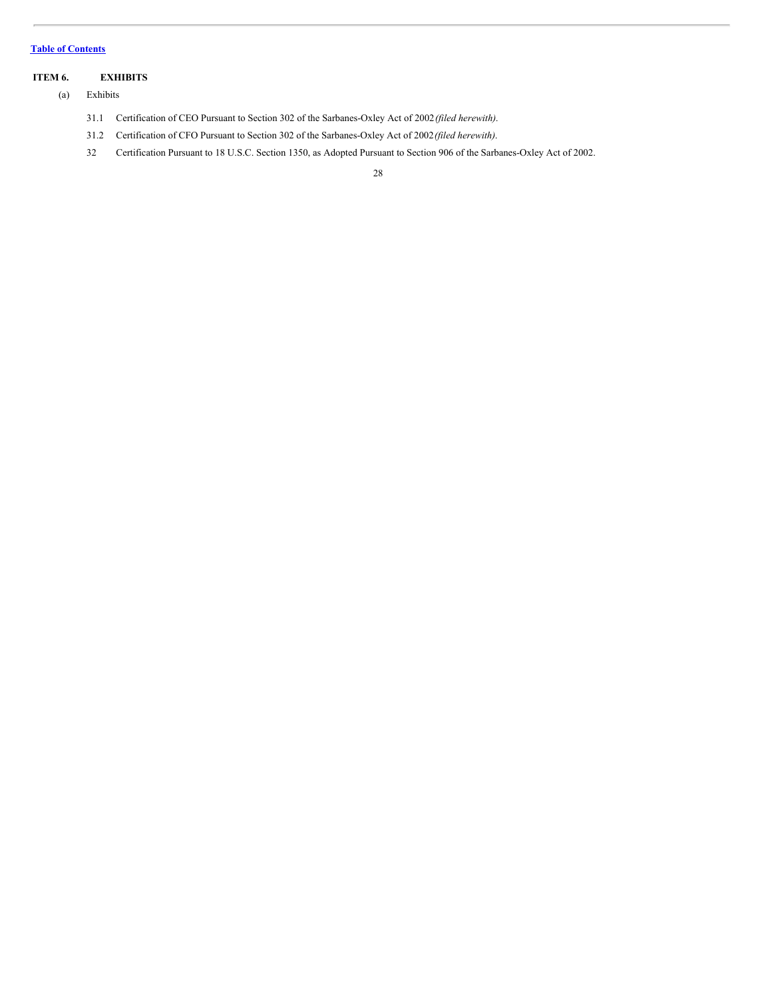## **Table of [Contents](#page-1-0)**

## <span id="page-27-0"></span>**ITEM 6. EXHIBITS**

(a) Exhibits

- 31.1 Certification of CEO Pursuant to Section 302 of the Sarbanes-Oxley Act of 2002*(filed herewith)*.
- 31.2 Certification of CFO Pursuant to Section 302 of the Sarbanes-Oxley Act of 2002*(filed herewith)*.
- 32 Certification Pursuant to 18 U.S.C. Section 1350, as Adopted Pursuant to Section 906 of the Sarbanes-Oxley Act of 2002.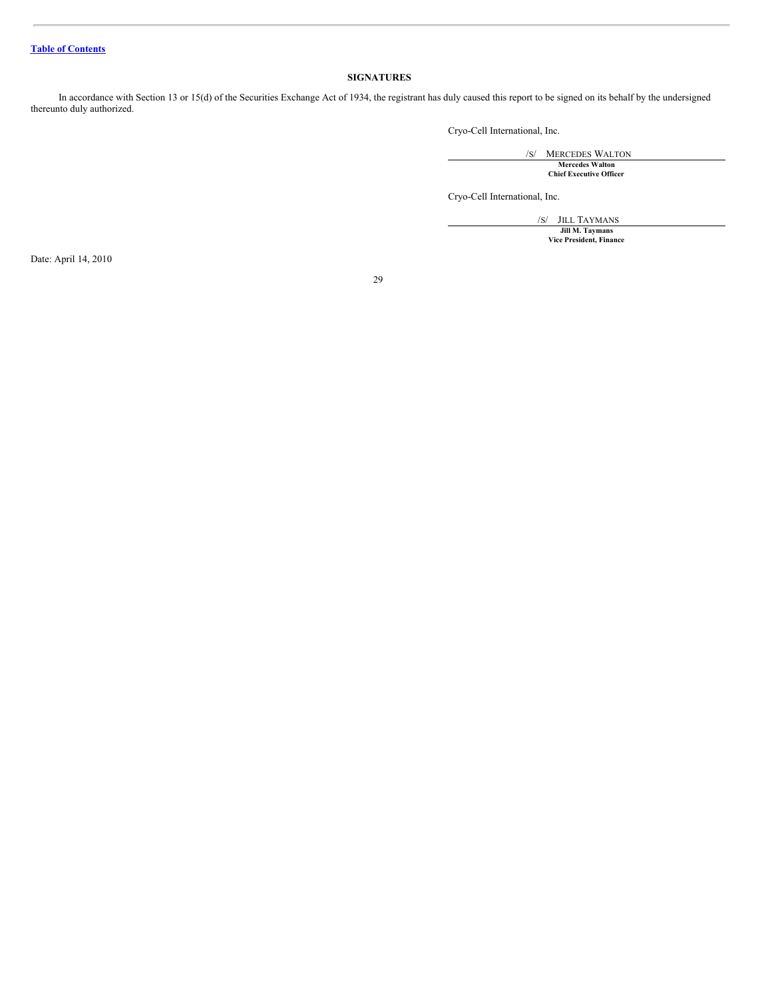## <span id="page-28-0"></span>**SIGNATURES**

In accordance with Section 13 or 15(d) of the Securities Exchange Act of 1934, the registrant has duly caused this report to be signed on its behalf by the undersigned thereunto duly authorized.

Cryo-Cell International, Inc.

/S/ MERCEDES WALTON **Mercedes Walton Chief Executive Officer**

Cryo-Cell International, Inc.

/S/ JILL TAYMANS **Jill M. Taymans Vice President, Finance**

Date: April 14, 2010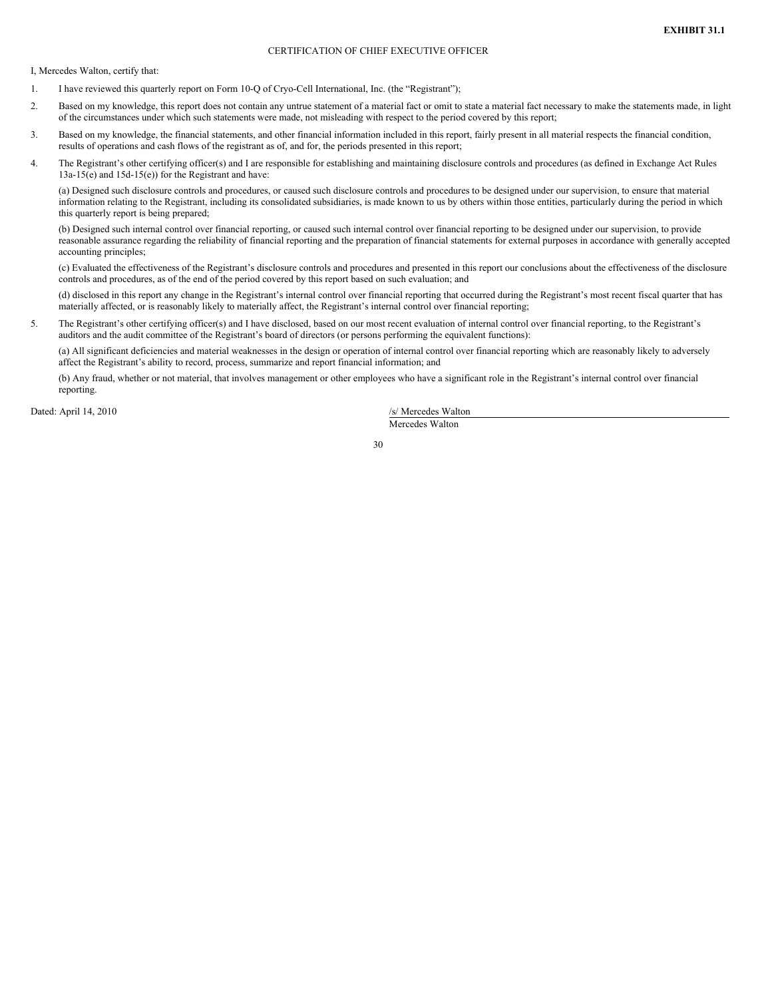## CERTIFICATION OF CHIEF EXECUTIVE OFFICER

I, Mercedes Walton, certify that:

- 1. I have reviewed this quarterly report on Form 10-Q of Cryo-Cell International, Inc. (the "Registrant");
- 2. Based on my knowledge, this report does not contain any untrue statement of a material fact or omit to state a material fact necessary to make the statements made, in light of the circumstances under which such statements were made, not misleading with respect to the period covered by this report;
- 3. Based on my knowledge, the financial statements, and other financial information included in this report, fairly present in all material respects the financial condition, results of operations and cash flows of the registrant as of, and for, the periods presented in this report;
- 4. The Registrant's other certifying officer(s) and I are responsible for establishing and maintaining disclosure controls and procedures (as defined in Exchange Act Rules 13a-15(e) and 15d-15(e)) for the Registrant and have:

(a) Designed such disclosure controls and procedures, or caused such disclosure controls and procedures to be designed under our supervision, to ensure that material information relating to the Registrant, including its consolidated subsidiaries, is made known to us by others within those entities, particularly during the period in which this quarterly report is being prepared;

(b) Designed such internal control over financial reporting, or caused such internal control over financial reporting to be designed under our supervision, to provide reasonable assurance regarding the reliability of financial reporting and the preparation of financial statements for external purposes in accordance with generally accepted accounting principles;

(c) Evaluated the effectiveness of the Registrant's disclosure controls and procedures and presented in this report our conclusions about the effectiveness of the disclosure controls and procedures, as of the end of the period covered by this report based on such evaluation; and

(d) disclosed in this report any change in the Registrant's internal control over financial reporting that occurred during the Registrant's most recent fiscal quarter that has materially affected, or is reasonably likely to materially affect, the Registrant's internal control over financial reporting;

5. The Registrant's other certifying officer(s) and I have disclosed, based on our most recent evaluation of internal control over financial reporting, to the Registrant's auditors and the audit committee of the Registrant's board of directors (or persons performing the equivalent functions):

(a) All significant deficiencies and material weaknesses in the design or operation of internal control over financial reporting which are reasonably likely to adversely affect the Registrant's ability to record, process, summarize and report financial information; and

(b) Any fraud, whether or not material, that involves management or other employees who have a significant role in the Registrant's internal control over financial reporting.

Dated: April 14, 2010 /s/ Mercedes Walton

Mercedes Walton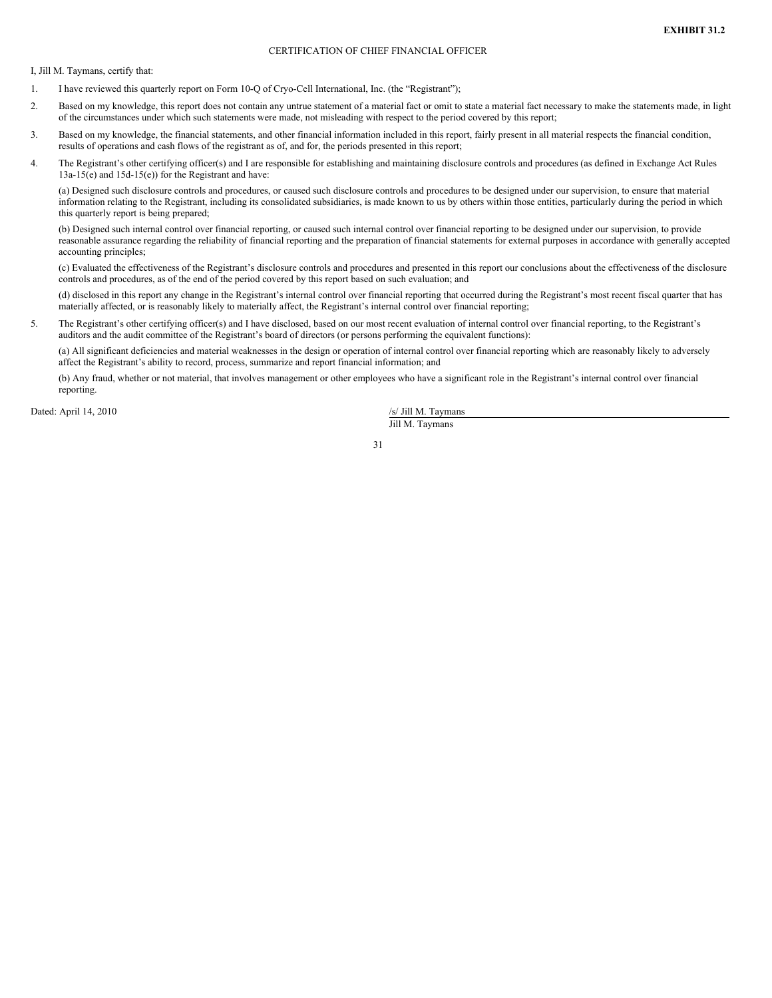## CERTIFICATION OF CHIEF FINANCIAL OFFICER

I, Jill M. Taymans, certify that:

- 1. I have reviewed this quarterly report on Form 10-Q of Cryo-Cell International, Inc. (the "Registrant");
- 2. Based on my knowledge, this report does not contain any untrue statement of a material fact or omit to state a material fact necessary to make the statements made, in light of the circumstances under which such statements were made, not misleading with respect to the period covered by this report;
- 3. Based on my knowledge, the financial statements, and other financial information included in this report, fairly present in all material respects the financial condition, results of operations and cash flows of the registrant as of, and for, the periods presented in this report;
- 4. The Registrant's other certifying officer(s) and I are responsible for establishing and maintaining disclosure controls and procedures (as defined in Exchange Act Rules 13a-15(e) and 15d-15(e)) for the Registrant and have:

(a) Designed such disclosure controls and procedures, or caused such disclosure controls and procedures to be designed under our supervision, to ensure that material information relating to the Registrant, including its consolidated subsidiaries, is made known to us by others within those entities, particularly during the period in which this quarterly report is being prepared;

(b) Designed such internal control over financial reporting, or caused such internal control over financial reporting to be designed under our supervision, to provide reasonable assurance regarding the reliability of financial reporting and the preparation of financial statements for external purposes in accordance with generally accepted accounting principles;

(c) Evaluated the effectiveness of the Registrant's disclosure controls and procedures and presented in this report our conclusions about the effectiveness of the disclosure controls and procedures, as of the end of the period covered by this report based on such evaluation; and

(d) disclosed in this report any change in the Registrant's internal control over financial reporting that occurred during the Registrant's most recent fiscal quarter that has materially affected, or is reasonably likely to materially affect, the Registrant's internal control over financial reporting;

5. The Registrant's other certifying officer(s) and I have disclosed, based on our most recent evaluation of internal control over financial reporting, to the Registrant's auditors and the audit committee of the Registrant's board of directors (or persons performing the equivalent functions):

(a) All significant deficiencies and material weaknesses in the design or operation of internal control over financial reporting which are reasonably likely to adversely affect the Registrant's ability to record, process, summarize and report financial information; and

(b) Any fraud, whether or not material, that involves management or other employees who have a significant role in the Registrant's internal control over financial reporting.

Dated: April 14, 2010 /s/ Jill M. Taymans

Jill M. Taymans